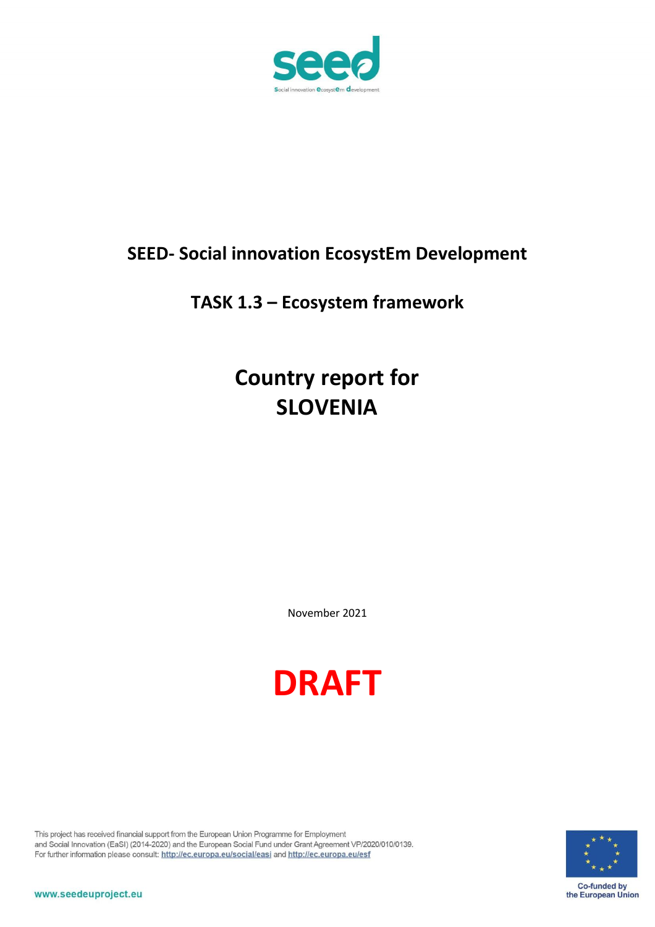

# **SEED- Social innovation EcosystEm Development**

# **TASK 1.3 – Ecosystem framework**

# **Country report for SLOVENIA**

November 2021



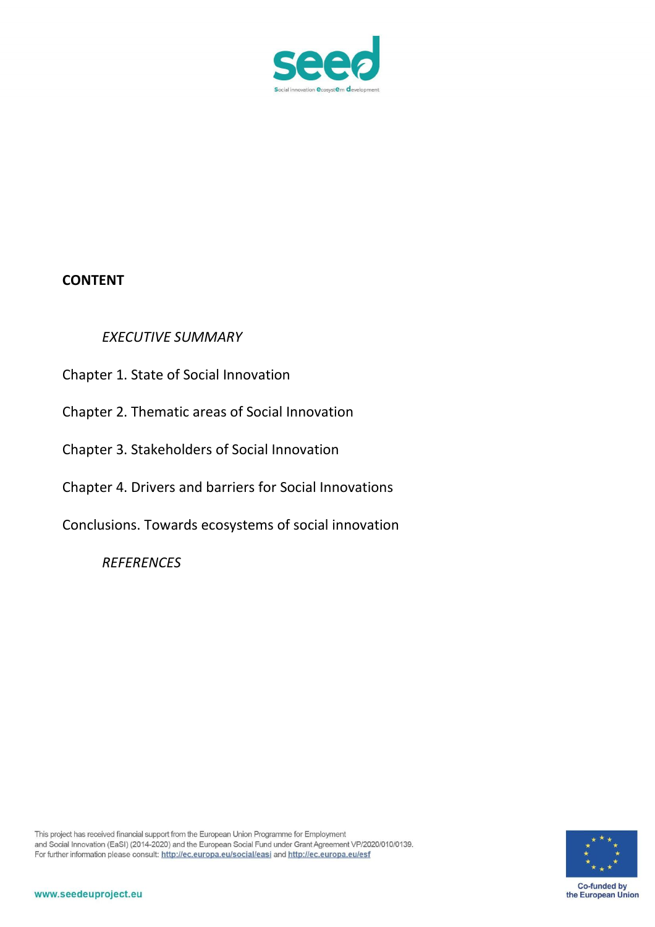

# **CONTENT**

# *EXECUTIVE SUMMARY*

- Chapter 1. State of Social Innovation
- Chapter 2. Thematic areas of Social Innovation
- Chapter 3. Stakeholders of Social Innovation
- Chapter 4. Drivers and barriers for Social Innovations
- Conclusions. Towards ecosystems of social innovation

*REFERENCES*

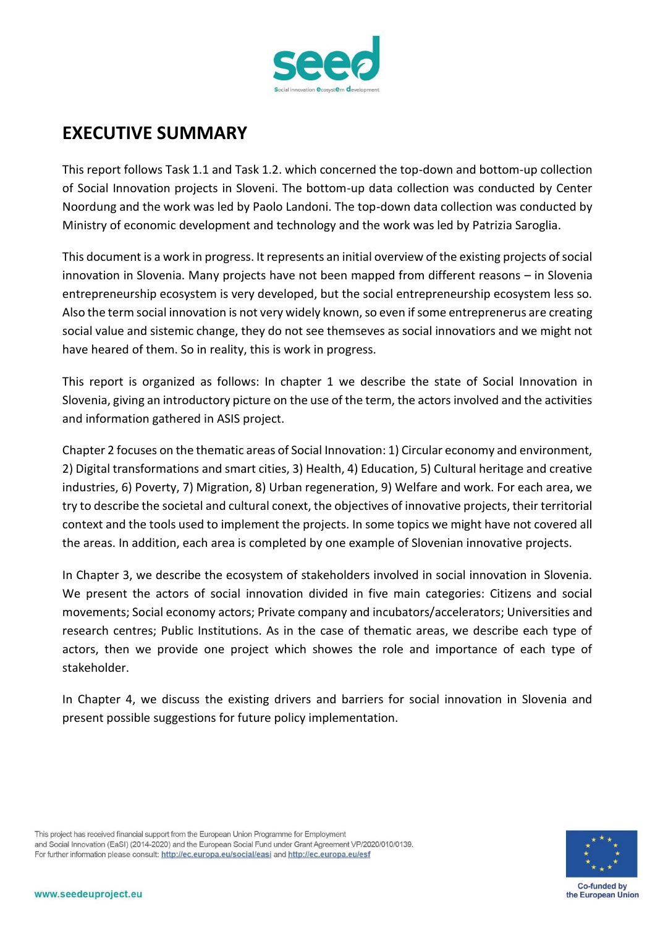

# **EXECUTIVE SUMMARY**

This report follows Task 1.1 and Task 1.2. which concerned the top-down and bottom-up collection of Social Innovation projects in Sloveni. The bottom-up data collection was conducted by Center Noordung and the work was led by Paolo Landoni. The top-down data collection was conducted by Ministry of economic development and technology and the work was led by Patrizia Saroglia.

This document is a work in progress. It represents an initial overview of the existing projects of social innovation in Slovenia. Many projects have not been mapped from different reasons – in Slovenia entrepreneurship ecosystem is very developed, but the social entrepreneurship ecosystem less so. Also the term social innovation is not very widely known, so even if some entreprenerus are creating social value and sistemic change, they do not see themseves as social innovatiors and we might not have heared of them. So in reality, this is work in progress.

This report is organized as follows: In chapter 1 we describe the state of Social Innovation in Slovenia, giving an introductory picture on the use of the term, the actors involved and the activities and information gathered in ASIS project.

Chapter 2 focuses on the thematic areas of Social Innovation: 1) Circular economy and environment, 2) Digital transformations and smart cities, 3) Health, 4) Education, 5) Cultural heritage and creative industries, 6) Poverty, 7) Migration, 8) Urban regeneration, 9) Welfare and work. For each area, we try to describe the societal and cultural conext, the objectives of innovative projects, their territorial context and the tools used to implement the projects. In some topics we might have not covered all the areas. In addition, each area is completed by one example of Slovenian innovative projects.

In Chapter 3, we describe the ecosystem of stakeholders involved in social innovation in Slovenia. We present the actors of social innovation divided in five main categories: Citizens and social movements; Social economy actors; Private company and incubators/accelerators; Universities and research centres; Public Institutions. As in the case of thematic areas, we describe each type of actors, then we provide one project which showes the role and importance of each type of stakeholder.

In Chapter 4, we discuss the existing drivers and barriers for social innovation in Slovenia and present possible suggestions for future policy implementation.

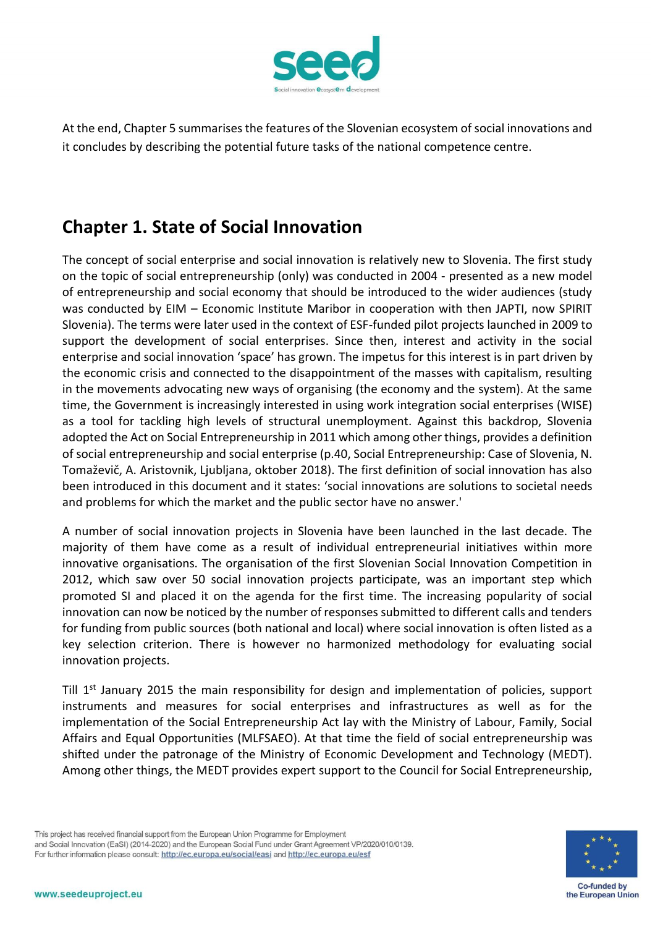

At the end, Chapter 5 summarises the features of the Slovenian ecosystem of social innovations and it concludes by describing the potential future tasks of the national competence centre.

# **Chapter 1. State of Social Innovation**

The concept of social enterprise and social innovation is relatively new to Slovenia. The first study on the topic of social entrepreneurship (only) was conducted in 2004 - presented as a new model of entrepreneurship and social economy that should be introduced to the wider audiences (study was conducted by EIM – Economic Institute Maribor in cooperation with then JAPTI, now SPIRIT Slovenia). The terms were later used in the context of ESF-funded pilot projects launched in 2009 to support the development of social enterprises. Since then, interest and activity in the social enterprise and social innovation 'space' has grown. The impetus for this interest is in part driven by the economic crisis and connected to the disappointment of the masses with capitalism, resulting in the movements advocating new ways of organising (the economy and the system). At the same time, the Government is increasingly interested in using work integration social enterprises (WISE) as a tool for tackling high levels of structural unemployment. Against this backdrop, Slovenia adopted the Act on Social Entrepreneurship in 2011 which among other things, provides a definition of social entrepreneurship and social enterprise (p.40, Social Entrepreneurship: Case of Slovenia, N. Tomaževič, A. Aristovnik, Ljubljana, oktober 2018). The first definition of social innovation has also been introduced in this document and it states: 'social innovations are solutions to societal needs and problems for which the market and the public sector have no answer.'

A number of social innovation projects in Slovenia have been launched in the last decade. The majority of them have come as a result of individual entrepreneurial initiatives within more innovative organisations. The organisation of the first Slovenian Social Innovation Competition in 2012, which saw over 50 social innovation projects participate, was an important step which promoted SI and placed it on the agenda for the first time. The increasing popularity of social innovation can now be noticed by the number of responses submitted to different calls and tenders for funding from public sources (both national and local) where social innovation is often listed as a key selection criterion. There is however no harmonized methodology for evaluating social innovation projects.

Till  $1<sup>st</sup>$  January 2015 the main responsibility for design and implementation of policies, support instruments and measures for social enterprises and infrastructures as well as for the implementation of the Social Entrepreneurship Act lay with the Ministry of Labour, Family, Social Affairs and Equal Opportunities (MLFSAEO). At that time the field of social entrepreneurship was shifted under the patronage of the Ministry of Economic Development and Technology (MEDT). Among other things, the MEDT provides expert support to the Council for Social Entrepreneurship,

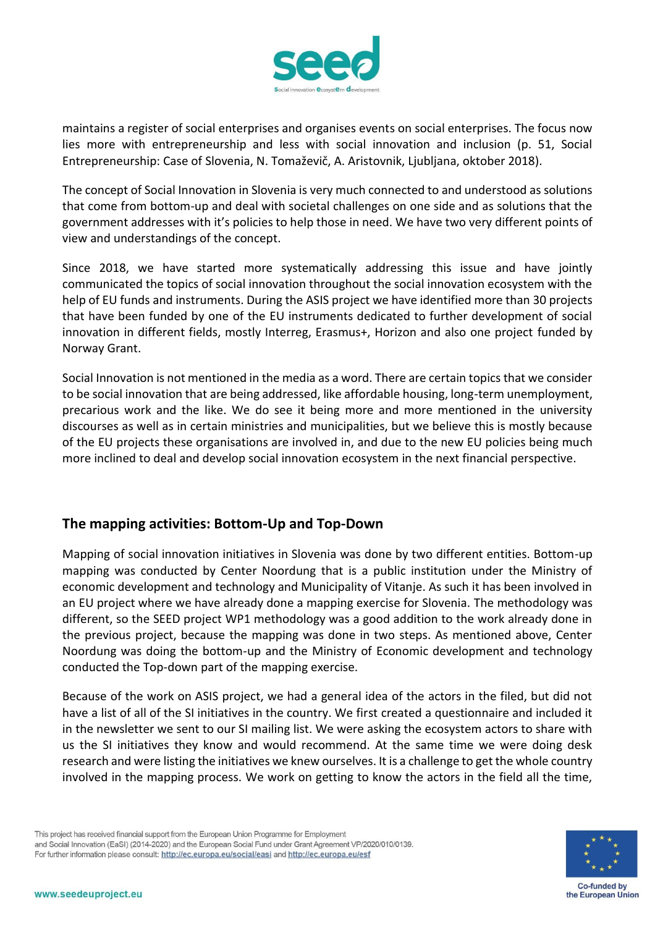

maintains a register of social enterprises and organises events on social enterprises. The focus now lies more with entrepreneurship and less with social innovation and inclusion (p. 51, Social Entrepreneurship: Case of Slovenia, N. Tomaževič, A. Aristovnik, Ljubljana, oktober 2018).

The concept of Social Innovation in Slovenia is very much connected to and understood as solutions that come from bottom-up and deal with societal challenges on one side and as solutions that the government addresses with it's policies to help those in need. We have two very different points of view and understandings of the concept.

Since 2018, we have started more systematically addressing this issue and have jointly communicated the topics of social innovation throughout the social innovation ecosystem with the help of EU funds and instruments. During the ASIS project we have identified more than 30 projects that have been funded by one of the EU instruments dedicated to further development of social innovation in different fields, mostly Interreg, Erasmus+, Horizon and also one project funded by Norway Grant.

Social Innovation is not mentioned in the media as a word. There are certain topics that we consider to be social innovation that are being addressed, like affordable housing, long-term unemployment, precarious work and the like. We do see it being more and more mentioned in the university discourses as well as in certain ministries and municipalities, but we believe this is mostly because of the EU projects these organisations are involved in, and due to the new EU policies being much more inclined to deal and develop social innovation ecosystem in the next financial perspective.

# **The mapping activities: Bottom-Up and Top-Down**

Mapping of social innovation initiatives in Slovenia was done by two different entities. Bottom-up mapping was conducted by Center Noordung that is a public institution under the Ministry of economic development and technology and Municipality of Vitanje. As such it has been involved in an EU project where we have already done a mapping exercise for Slovenia. The methodology was different, so the SEED project WP1 methodology was a good addition to the work already done in the previous project, because the mapping was done in two steps. As mentioned above, Center Noordung was doing the bottom-up and the Ministry of Economic development and technology conducted the Top-down part of the mapping exercise.

Because of the work on ASIS project, we had a general idea of the actors in the filed, but did not have a list of all of the SI initiatives in the country. We first created a questionnaire and included it in the newsletter we sent to our SI mailing list. We were asking the ecosystem actors to share with us the SI initiatives they know and would recommend. At the same time we were doing desk research and were listing the initiatives we knew ourselves. It is a challenge to get the whole country involved in the mapping process. We work on getting to know the actors in the field all the time,

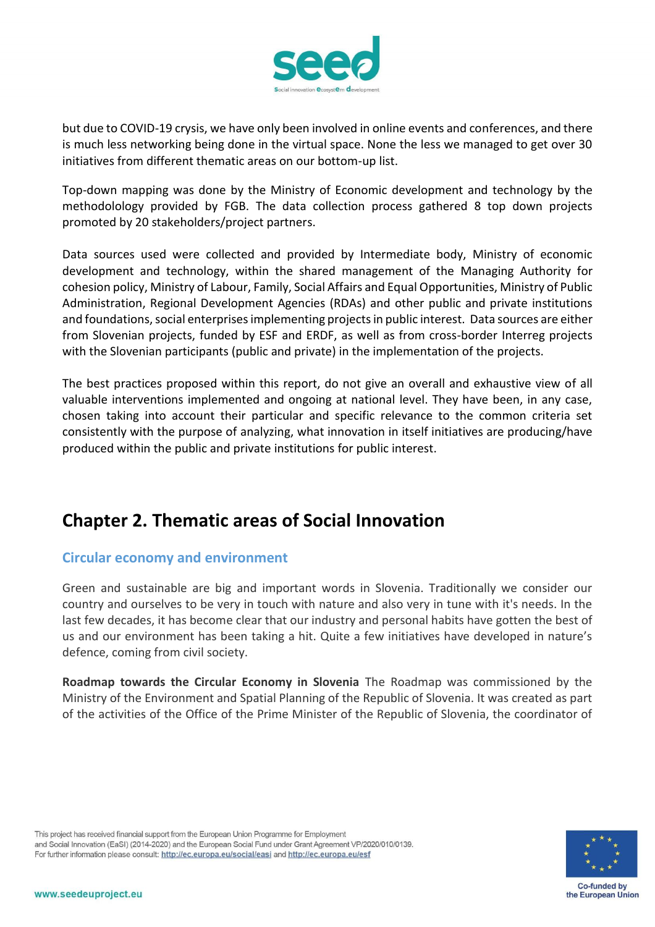

but due to COVID-19 crysis, we have only been involved in online events and conferences, and there is much less networking being done in the virtual space. None the less we managed to get over 30 initiatives from different thematic areas on our bottom-up list.

Top-down mapping was done by the Ministry of Economic development and technology by the methodolology provided by FGB. The data collection process gathered 8 top down projects promoted by 20 stakeholders/project partners.

Data sources used were collected and provided by Intermediate body, Ministry of economic development and technology, within the shared management of the Managing Authority for cohesion policy, Ministry of Labour, Family, Social Affairs and Equal Opportunities, Ministry of Public Administration, Regional Development Agencies (RDAs) and other public and private institutions and foundations, social enterprises implementing projects in public interest. Data sources are either from Slovenian projects, funded by ESF and ERDF, as well as from cross-border Interreg projects with the Slovenian participants (public and private) in the implementation of the projects.

The best practices proposed within this report, do not give an overall and exhaustive view of all valuable interventions implemented and ongoing at national level. They have been, in any case, chosen taking into account their particular and specific relevance to the common criteria set consistently with the purpose of analyzing, what innovation in itself initiatives are producing/have produced within the public and private institutions for public interest.

# **Chapter 2. Thematic areas of Social Innovation**

# **Circular economy and environment**

Green and sustainable are big and important words in Slovenia. Traditionally we consider our country and ourselves to be very in touch with nature and also very in tune with it's needs. In the last few decades, it has become clear that our industry and personal habits have gotten the best of us and our environment has been taking a hit. Quite a few initiatives have developed in nature's defence, coming from civil society.

**Roadmap towards the Circular Economy in Slovenia** The Roadmap was commissioned by the Ministry of the Environment and Spatial Planning of the Republic of Slovenia. It was created as part of the activities of the Office of the Prime Minister of the Republic of Slovenia, the coordinator of

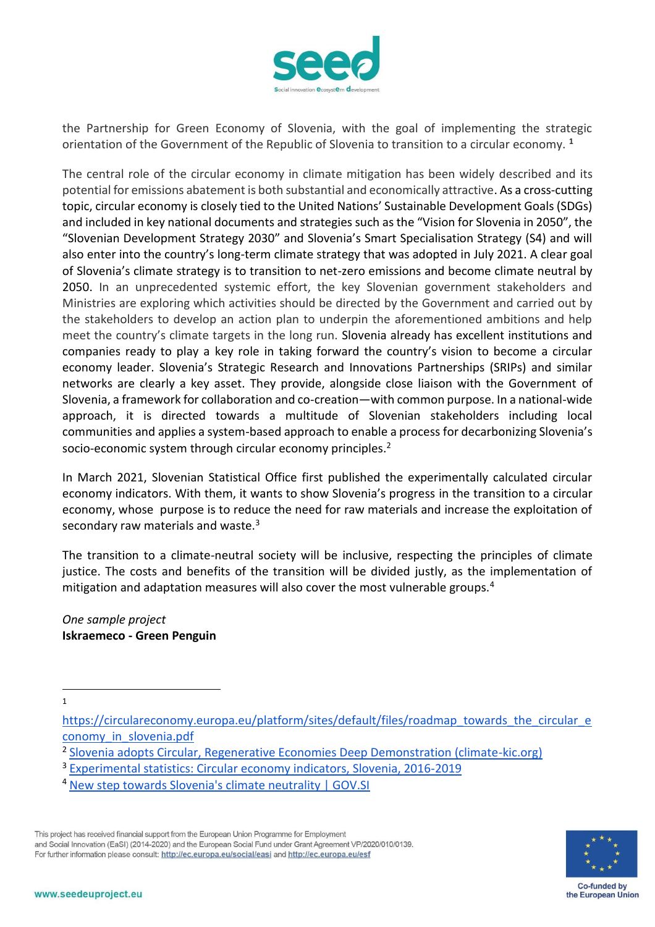

the Partnership for Green Economy of Slovenia, with the goal of implementing the strategic orientation of the Government of the Republic of Slovenia to transition to a circular economy. **<sup>1</sup>**

The central role of the circular economy in climate mitigation has been widely described and its potential for emissions abatement is both substantial and economically attractive. As a cross-cutting topic, circular economy is closely tied to the United Nations' Sustainable Development Goals (SDGs) and included in key national documents and strategies such as the "Vision for Slovenia in 2050", the "Slovenian Development Strategy 2030" and Slovenia's Smart Specialisation Strategy (S4) and will also enter into the country's long-term climate strategy that was adopted in July 2021. A clear goal of Slovenia's climate strategy is to transition to net-zero emissions and become climate neutral by 2050. In an unprecedented systemic effort, the key Slovenian government stakeholders and Ministries are exploring which activities should be directed by the Government and carried out by the stakeholders to develop an action plan to underpin the aforementioned ambitions and help meet the country's climate targets in the long run. Slovenia already has excellent institutions and companies ready to play a key role in taking forward the country's vision to become a circular economy leader. Slovenia's Strategic Research and Innovations Partnerships (SRIPs) and similar networks are clearly a key asset. They provide, alongside close liaison with the Government of Slovenia, a framework for collaboration and co-creation—with common purpose. In a national-wide approach, it is directed towards a multitude of Slovenian stakeholders including local communities and applies a system-based approach to enable a process for decarbonizing Slovenia's socio-economic system through circular economy principles.<sup>2</sup>

In March 2021, Slovenian Statistical Office first published the experimentally calculated circular economy indicators. With them, it wants to show Slovenia's progress in the transition to a circular economy, whose purpose is to reduce the need for raw materials and increase the exploitation of secondary raw materials and waste. $3$ 

The transition to a climate-neutral society will be inclusive, respecting the principles of climate justice. The costs and benefits of the transition will be divided justly, as the implementation of mitigation and adaptation measures will also cover the most vulnerable groups.<sup>4</sup>

*One sample project* **Iskraemeco - Green Penguin**

1



[https://circulareconomy.europa.eu/platform/sites/default/files/roadmap\\_towards\\_the\\_circular\\_e](https://circulareconomy.europa.eu/platform/sites/default/files/roadmap_towards_the_circular_economy_in_slovenia.pdf) [conomy\\_in\\_slovenia.pdf](https://circulareconomy.europa.eu/platform/sites/default/files/roadmap_towards_the_circular_economy_in_slovenia.pdf)

<sup>&</sup>lt;sup>2</sup> [Slovenia adopts Circular, Regenerative Economies Deep Demonstration \(climate-kic.org\)](https://www.climate-kic.org/news/slovenia-adopts-circular-regenerative-economies-deep-demonstration/)

<sup>3</sup> [Experimental statistics: Circular economy indicators, Slovenia, 2016-2019](https://www.stat.si/StatWeb/en/News/Index/9406)

<sup>4</sup> [New step towards Slovenia's climate neutrality | GOV.SI](https://www.gov.si/en/news/2021-07-13-new-step-towards-slovenias-climate-neutrality/)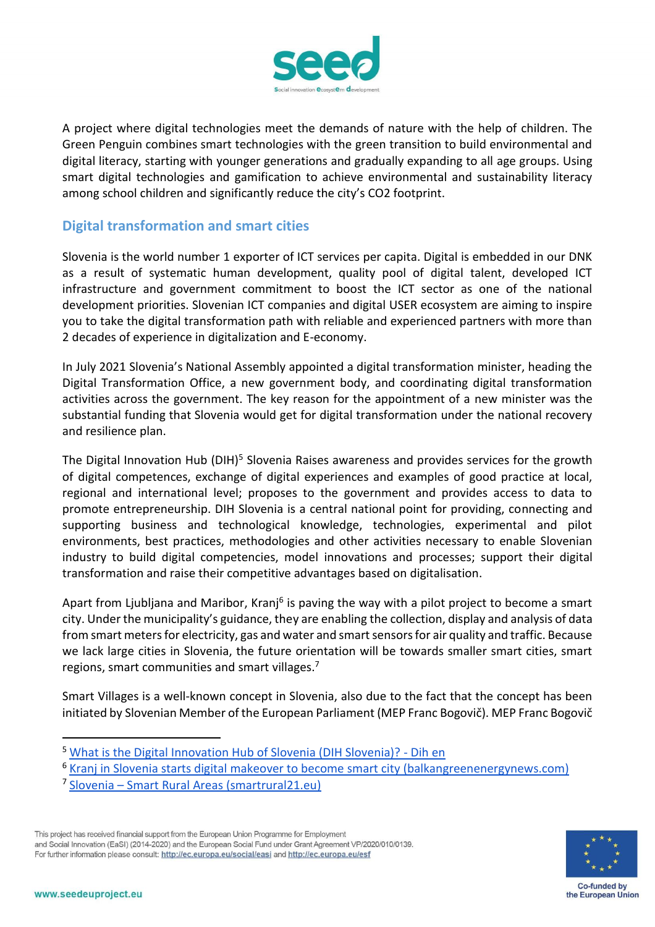

A project where digital technologies meet the demands of nature with the help of children. The Green Penguin combines smart technologies with the green transition to build environmental and digital literacy, starting with younger generations and gradually expanding to all age groups. Using smart digital technologies and gamification to achieve environmental and sustainability literacy among school children and significantly reduce the city's CO2 footprint.

# **Digital transformation and smart cities**

Slovenia is the world number 1 exporter of ICT services per capita. Digital is embedded in our DNK as a result of systematic human development, quality pool of digital talent, developed ICT infrastructure and government commitment to boost the ICT sector as one of the national development priorities. Slovenian ICT companies and digital USER ecosystem are aiming to inspire you to take the digital transformation path with reliable and experienced partners with more than 2 decades of experience in digitalization and E-economy.

In July 2021 Slovenia's National Assembly appointed a digital transformation minister, heading the Digital Transformation Office, a new government body, and coordinating digital transformation activities across the government. The key reason for the appointment of a new minister was the substantial funding that Slovenia would get for digital transformation under the national recovery and resilience plan.

The Digital Innovation Hub (DIH)<sup>5</sup> Slovenia Raises awareness and provides services for the growth of digital competences, exchange of digital experiences and examples of good practice at local, regional and international level; proposes to the government and provides access to data to promote entrepreneurship. DIH Slovenia is a central national point for providing, connecting and supporting business and technological knowledge, technologies, experimental and pilot environments, best practices, methodologies and other activities necessary to enable Slovenian industry to build digital competencies, model innovations and processes; support their digital transformation and raise their competitive advantages based on digitalisation.

Apart from Ljubljana and Maribor, Kranj<sup>6</sup> is paving the way with a pilot project to become a smart city. Under the municipality's guidance, they are enabling [the collection, display and analysis of data](https://www.kranj.si/vzpostavili-pametno-sosesko-mlaka-pri-kranju) from smart meters for electricity, gas and water and smart sensors for air quality and traffic. Because we lack large cities in Slovenia, the future orientation will be towards smaller smart cities, smart regions, smart communities and smart villages.<sup>7</sup>

Smart Villages is a well-known concept in Slovenia, also due to the fact that the concept has been initiated by Slovenian Member of the European Parliament (MEP Franc Bogovič). MEP Franc Bogovič



<sup>5</sup> [What is the Digital Innovation Hub of Slovenia \(DIH Slovenia\)? -](https://dihslovenia.si/en/about-us) Dih en

<sup>&</sup>lt;sup>6</sup> [Kranj in Slovenia starts digital makeover to become smart city \(balkangreenenergynews.com\)](https://balkangreenenergynews.com/kranj-in-slovenia-starts-digital-makeover-to-become-smart-city/)

<sup>7</sup> Slovenia – [Smart Rural Areas \(smartrural21.eu\)](https://www.smartrural21.eu/countries/slovenia/)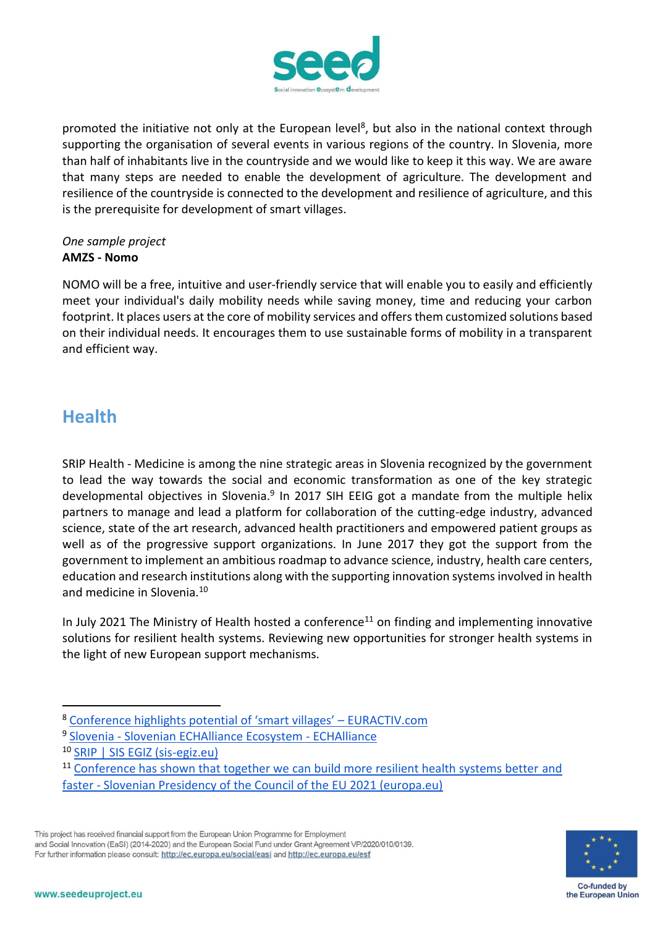

promoted the initiative not only at the European level<sup>8</sup>, but also in the national context through supporting the organisation of several events in various regions of the country. In Slovenia, more than half of inhabitants live in the countryside and we would like to keep it this way. We are aware that many steps are needed to enable the development of agriculture. The development and resilience of the countryside is connected to the development and resilience of agriculture, and this is the prerequisite for development of smart villages.

### *One sample project* **AMZS - Nomo**

NOMO will be a free, intuitive and user-friendly service that will enable you to easily and efficiently meet your individual's daily mobility needs while saving money, time and reducing your carbon footprint. It places users at the core of mobility services and offers them customized solutions based on their individual needs. It encourages them to use sustainable forms of mobility in a transparent and efficient way.

# **Health**

SRIP Health - Medicine is among the nine strategic areas in Slovenia recognized by the government to lead the way towards the social and economic transformation as one of the key strategic developmental objectives in Slovenia.<sup>9</sup> In 2017 SIH EEIG got a mandate from the multiple helix partners to manage and lead a platform for collaboration of the cutting-edge industry, advanced science, state of the art research, advanced health practitioners and empowered patient groups as well as of the progressive support organizations. In June 2017 they got the support from the government to implement an ambitious roadmap to advance science, industry, health care centers, education and research institutions along with the supporting innovation systems involved in health and medicine in Slovenia.<sup>10</sup>

In July 2021 The Ministry of Health hosted a conference<sup>11</sup> on finding and implementing innovative solutions for resilient health systems. Reviewing new opportunities for stronger health systems in the light of new European support mechanisms.



<sup>8</sup> [Conference highlights potential of 'smart villages' –](https://www.euractiv.com/section/eu-council-presidency/news/conference-highlights-potential-of-smart-villages/) EURACTIV.com

<sup>9</sup> Slovenia - [Slovenian ECHAlliance Ecosystem -](https://echalliance.com/ecosystem/slovenian-echalliance-ecosystem/) ECHAlliance

<sup>10</sup> [SRIP | SIS EGIZ \(sis-egiz.eu\)](https://sis-egiz.eu/srip/?lang=en)

<sup>&</sup>lt;sup>11</sup> Conference has shown that together we can build more resilient health systems better and faster - [Slovenian Presidency of the Council of the EU 2021 \(europa.eu\)](https://slovenian-presidency.consilium.europa.eu/en/news/conference-has-shown-that-together-we-can-build-more-resilient-health-systems-better-and-faster/)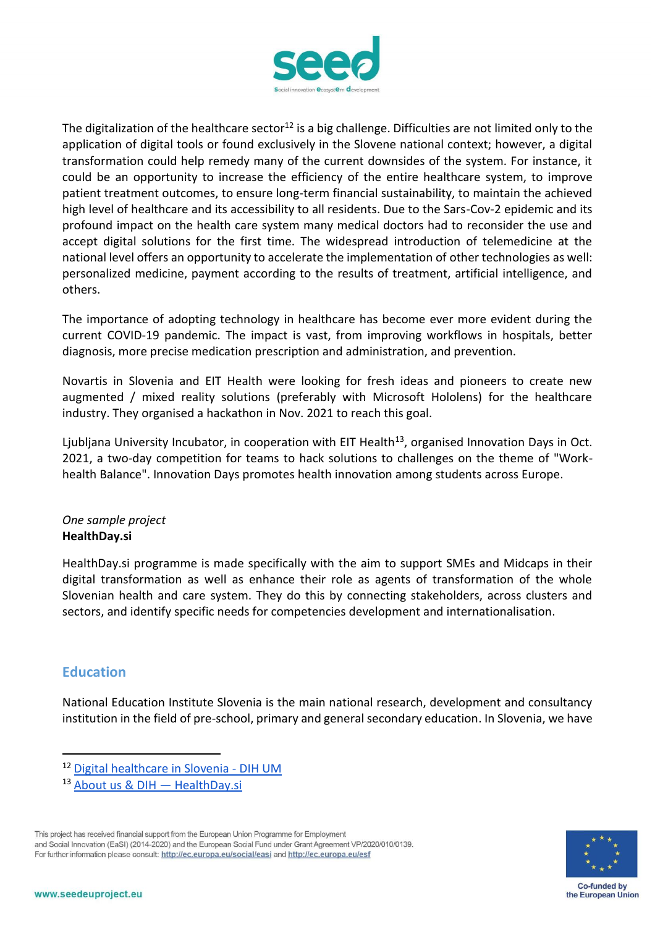

The digitalization of the healthcare sector<sup>12</sup> is a big challenge. Difficulties are not limited only to the application of digital tools or found exclusively in the Slovene national context; however, a digital transformation could help remedy many of the current downsides of the system. For instance, it could be an opportunity to increase the efficiency of the entire healthcare system, to improve patient treatment outcomes, to ensure long-term financial sustainability, to maintain the achieved high level of healthcare and its accessibility to all residents. Due to the Sars-Cov-2 epidemic and its profound impact on the health care system many medical doctors had to reconsider the use and accept digital solutions for the first time. The widespread introduction of telemedicine at the national level offers an opportunity to accelerate the implementation of other technologies as well: personalized medicine, payment according to the results of treatment, artificial intelligence, and others.

The importance of adopting technology in healthcare has become ever more evident during the current COVID-19 pandemic. The impact is vast, from improving workflows in hospitals, better diagnosis, more precise medication prescription and administration, and prevention.

Novartis in Slovenia and EIT Health were looking for fresh ideas and pioneers to create new augmented / mixed reality solutions (preferably with Microsoft Hololens) for the healthcare industry. They organised a hackathon in Nov. 2021 to reach this goal.

Ljubljana University Incubator, in cooperation with EIT Health<sup>13</sup>, organised Innovation Days in Oct. 2021, a two-day competition for teams to hack solutions to challenges on the theme of "Workhealth Balance". Innovation Days promotes health innovation among students across Europe.

### *One sample project* **HealthDay.si**

HealthDay.si programme is made specifically with the aim to support SMEs and Midcaps in their digital transformation as well as enhance their role as agents of transformation of the whole Slovenian health and care system. They do this by connecting stakeholders, across clusters and sectors, and identify specific needs for competencies development and internationalisation.

# **Education**

National Education Institute Slovenia is the main national research, development and consultancy institution in the field of pre-school, primary and general secondary education. In Slovenia, we have



<sup>12</sup> [Digital healthcare in Slovenia -](https://dih.um.si/en/digital-healthcare-in-slovenia/) DIH UM

<sup>13</sup> [About us & DIH](http://www.healthday.si/about-us-and-dih) — HealthDay.si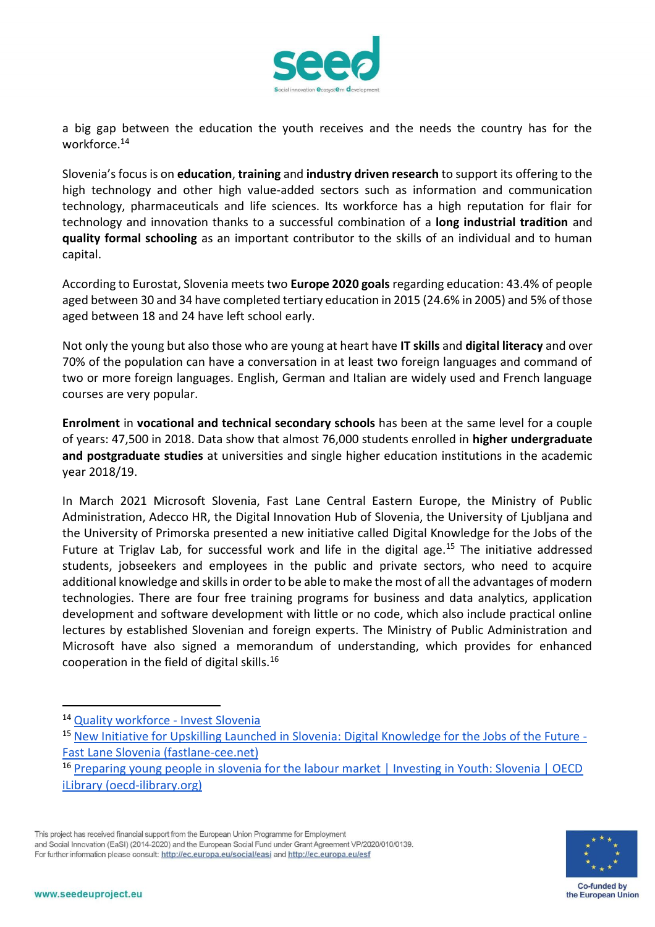

a big gap between the education the youth receives and the needs the country has for the workforce.<sup>14</sup>

Slovenia's focus is on **education**, **training** and **industry driven research** to support its offering to the high technology and other high value-added sectors such as information and communication technology, pharmaceuticals and life sciences. Its workforce has a high reputation for flair for technology and innovation thanks to a successful combination of a **long industrial tradition** and **quality formal schooling** as an important contributor to the skills of an individual and to human capital.

According to Eurostat, Slovenia meets two **Europe 2020 goals** regarding education: 43.4% of people aged between 30 and 34 have completed tertiary education in 2015 (24.6% in 2005) and 5% of those aged between 18 and 24 have left school early.

Not only the young but also those who are young at heart have **IT skills** and **digital literacy** and over 70% of the population can have a conversation in at least two foreign languages and command of two or more foreign languages. English, German and Italian are widely used and French language courses are very popular.

**Enrolment** in **vocational and technical secondary schools** has been at the same level for a couple of years: 47,500 in 2018. Data show that almost 76,000 students enrolled in **higher undergraduate and postgraduate studies** at universities and single higher education institutions in the academic year 2018/19.

In March 2021 Microsoft Slovenia, Fast Lane Central Eastern Europe, the Ministry of Public Administration, Adecco HR, the Digital Innovation Hub of Slovenia, the University of Ljubljana and the University of Primorska presented a new initiative called [Digital Knowledge for the Jobs of the](https://www.fastlane.live/digitalnaznanja/)  [Future](https://www.fastlane.live/digitalnaznanja/) at Triglav Lab, for successful work and life in the digital age.<sup>15</sup> The initiative addressed students, jobseekers and employees in the public and private sectors, who need to acquire additional knowledge and skills in order to be able to make the most of all the advantages of modern technologies. There are four free training programs for business and data analytics, application development and software development with little or no code, which also include practical online lectures by established Slovenian and foreign experts. The Ministry of Public Administration and Microsoft have also signed a memorandum of understanding, which provides for enhanced cooperation in the field of digital skills.<sup>16</sup>

This project has received financial support from the European Union Programme for Employment

and Social Innovation (EaSI) (2014-2020) and the European Social Fund under Grant Agreement VP/2020/010/0139. For further information please consult: http://ec.europa.eu/social/easi and http://ec.europa.eu/esf



<sup>14</sup> [Quality workforce -](https://www.investslovenia.org/why-slovenia/quality-workforce) Invest Slovenia

<sup>&</sup>lt;sup>15</sup> [New Initiative for Upskilling Launched in Slovenia: Digital Knowledge for the Jobs of the Future -](https://www.fastlane-cee.net/news/46976) [Fast Lane Slovenia \(fastlane-cee.net\)](https://www.fastlane-cee.net/news/46976)

<sup>&</sup>lt;sup>16</sup> Preparing young people in slovenia for the labour market | Investing in Youth: Slovenia | OECD [iLibrary \(oecd-ilibrary.org\)](https://www.oecd-ilibrary.org/sites/c58ac8f5-en/index.html?itemId=/content/component/c58ac8f5-en)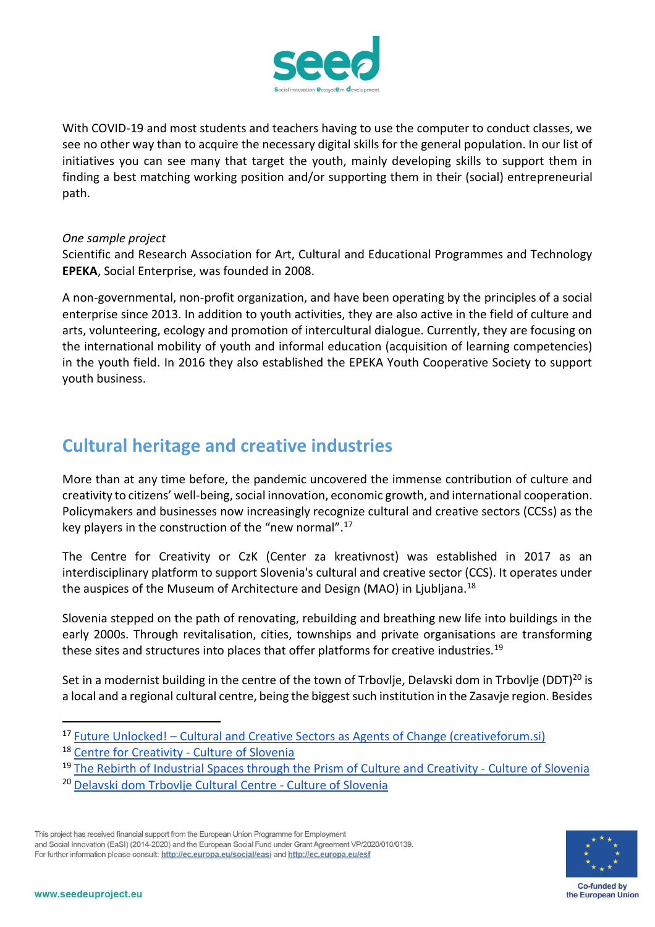

With COVID-19 and most students and teachers having to use the computer to conduct classes, we see no other way than to acquire the necessary digital skills for the general population. In our list of initiatives you can see many that target the youth, mainly developing skills to support them in finding a best matching working position and/or supporting them in their (social) entrepreneurial path.

#### *One sample project*

Scientific and Research Association for Art, Cultural and Educational Programmes and Technology **EPEKA**, Social Enterprise, was founded in 2008.

A non-governmental, non-profit organization, and have been operating by the principles of a social enterprise since 2013. In addition to youth activities, they are also active in the field of culture and arts, volunteering, ecology and promotion of intercultural dialogue. Currently, they are focusing on the international mobility of youth and informal education (acquisition of learning competencies) in the youth field. In 2016 they also established the EPEKA Youth Cooperative Society to support youth business.

# **Cultural heritage and creative industries**

More than at any time before, the pandemic uncovered the immense contribution of culture and creativity to citizens' well-being, social innovation, economic growth, and international cooperation. Policymakers and businesses now increasingly recognize cultural and creative sectors (CCSs) as the key players in the construction of the "new normal".<sup>17</sup>

The Centre for Creativity or CzK (Center za kreativnost) was established in 2017 as an interdisciplinary platform to support Slovenia's cultural and creative sector (CCS). It operates under the auspices of the [Museum of Architecture and Design \(MAO\)](https://www.culture.si/en/Museum_of_Architecture_and_Design) in Ljubljana.<sup>18</sup>

Slovenia stepped on the path of renovating, rebuilding and breathing new life into buildings in the early 2000s. Through revitalisation, cities, townships and private organisations are transforming these sites and structures into places that offer platforms for creative industries.<sup>19</sup>

Set in a modernist building in the centre of the town of Trbovlje, Delavski dom in Trbovlje (DDT)<sup>20</sup> is a local and a regional cultural centre, being the biggest such institution in the Zasavje region. Besides



<sup>&</sup>lt;sup>17</sup> Future Unlocked! – [Cultural and Creative Sectors as Agents of Change \(creativeforum.si\)](http://www.creativeforum.si/)

<sup>18</sup> [Centre for Creativity -](https://www.culture.si/en/Centre_for_Creativity) Culture of Slovenia

<sup>&</sup>lt;sup>19</sup> [The Rebirth of Industrial Spaces through the Prism of Culture and Creativity -](https://www.culture.si/en/The_Rebirth_of_Industrial_Spaces_through_the_Prism_of_Culture_and_Creativity) Culture of Slovenia

<sup>20</sup> [Delavski dom Trbovlje Cultural Centre -](https://www.culture.si/en/Delavski_dom_Trbovlje_Cultural_Centre) Culture of Slovenia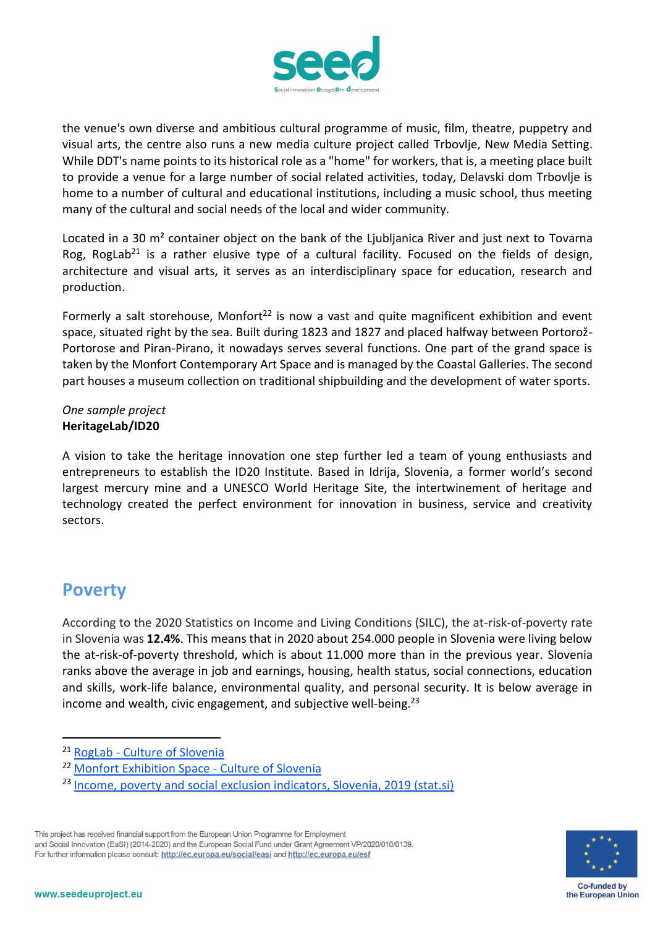

the venue's own diverse and ambitious cultural programme of music, film, theatre, puppetry and visual arts, the centre also runs a new media culture project called [Trbovlje, New Media Setting.](https://www.culture.si/en/Trbovlje,_The_New_Media_Setting) While DDT's name points to its historical role as a "home" for workers, that is, a meeting place built to provide a venue for a large number of social related activities, today, Delavski dom Trbovlje is home to a number of cultural and educational institutions, including a music school, thus meeting many of the cultural and social needs of the local and wider community.

Located in a 30 m<sup>2</sup> container object on the bank of the Ljubljanica River and just next to Tovarna [Rog,](https://www.culture.si/en/Tovarna_Rog) RogLab<sup>21</sup> is a rather elusive type of a cultural facility. Focused on the fields of design, architecture and visual arts, it serves as an interdisciplinary space for education, research and production.

Formerly a salt storehouse, Monfort<sup>22</sup> is now a vast and quite magnificent exhibition and event space, situated right by the sea. Built during 1823 and 1827 and placed halfway between Portorož-Portorose and Piran-Pirano, it nowadays serves several functions. One part of the grand space is taken by the Monfort Contemporary Art Space and is managed by the [Coastal Galleries.](https://www.culture.si/en/Obalne_galerije_-_Coastal_Galleries) The second part houses a museum collection on traditional shipbuilding and the development of water sports.

### *One sample project* **HeritageLab/ID20**

A vision to take the heritage innovation one step further led a team of young enthusiasts and entrepreneurs to establish the ID20 Institute. Based in Idrija, Slovenia, a former world's second largest mercury mine and a UNESCO World Heritage Site, the intertwinement of heritage and technology created the perfect environment for innovation in business, service and creativity sectors.

# **Poverty**

According to the 2020 Statistics on Income and Living Conditions (SILC), the at-risk-of-poverty rate in Slovenia was **12.4%**. This means that in 2020 about 254.000 people in Slovenia were living below the at-risk-of-poverty threshold, which is about 11.000 more than in the previous year. Slovenia ranks above the average in job and earnings, housing, health status, social connections, education and skills, work-life balance, environmental quality, and personal security. It is below average in income and wealth, civic engagement, and subjective well-being.<sup>23</sup>



<sup>21</sup> RogLab - [Culture of Slovenia](https://www.culture.si/en/RogLab)

<sup>22</sup> [Monfort Exhibition Space -](https://www.culture.si/en/Monfort_Exhibition_Space) Culture of Slovenia

<sup>&</sup>lt;sup>23</sup> [Income, poverty and social exclusion indicators, Slovenia, 2019 \(stat.si\)](https://www.stat.si/StatWeb/en/News/Index/8895)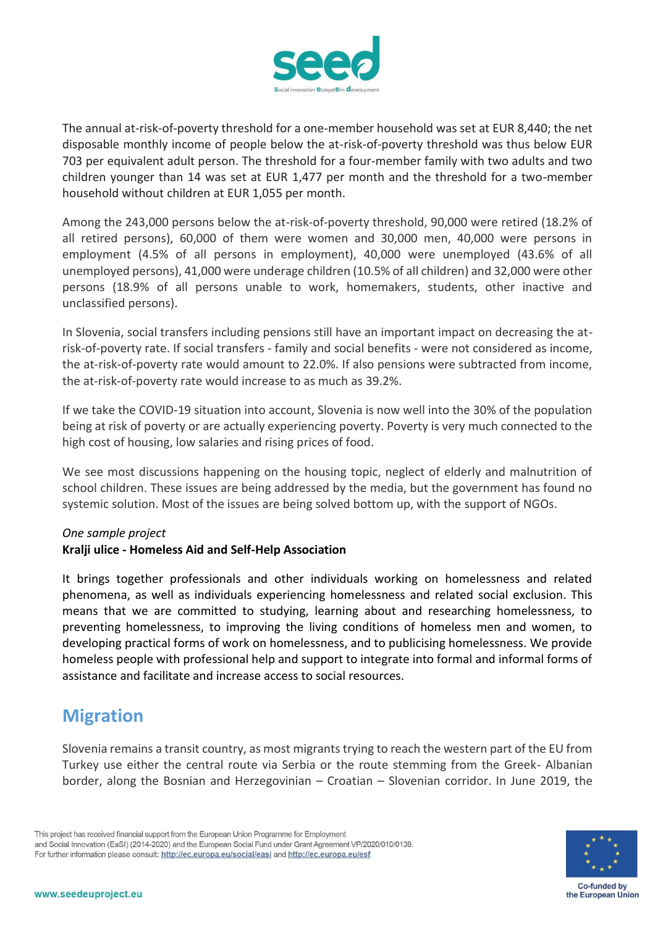

The annual at-risk-of-poverty threshold for a one-member household was set at EUR 8,440; the net disposable monthly income of people below the at-risk-of-poverty threshold was thus below EUR 703 per equivalent adult person. The threshold for a four-member family with two adults and two children younger than 14 was set at EUR 1,477 per month and the threshold for a two-member household without children at EUR 1,055 per month.

Among the 243,000 persons below the at-risk-of-poverty threshold, 90,000 were retired (18.2% of all retired persons), 60,000 of them were women and 30,000 men, 40,000 were persons in employment (4.5% of all persons in employment), 40,000 were unemployed (43.6% of all unemployed persons), 41,000 were underage children (10.5% of all children) and 32,000 were other persons (18.9% of all persons unable to work, homemakers, students, other inactive and unclassified persons).

In Slovenia, social transfers including pensions still have an important impact on decreasing the atrisk-of-poverty rate. If social transfers - family and social benefits - were not considered as income, the at-risk-of-poverty rate would amount to 22.0%. If also pensions were subtracted from income, the at-risk-of-poverty rate would increase to as much as 39.2%.

If we take the COVID-19 situation into account, Slovenia is now well into the 30% of the population being at risk of poverty or are actually experiencing poverty. Poverty is very much connected to the high cost of housing, low salaries and rising prices of food.

We see most discussions happening on the housing topic, neglect of elderly and malnutrition of school children. These issues are being addressed by the media, but the government has found no systemic solution. Most of the issues are being solved bottom up, with the support of NGOs.

#### *One sample project*

### **Kralji ulice - Homeless Aid and Self-Help Association**

It brings together professionals and other individuals working on homelessness and related phenomena, as well as individuals experiencing homelessness and related social exclusion. This means that we are committed to studying, learning about and researching homelessness, to preventing homelessness, to improving the living conditions of homeless men and women, to developing practical forms of work on homelessness, and to publicising homelessness. We provide homeless people with professional help and support to integrate into formal and informal forms of assistance and facilitate and increase access to social resources.

# **Migration**

Slovenia remains a transit country, as most migrants trying to reach the western part of the EU from Turkey use either the central route via Serbia or the route stemming from the Greek- Albanian border, along the Bosnian and Herzegovinian – Croatian – Slovenian corridor. In June 2019, the

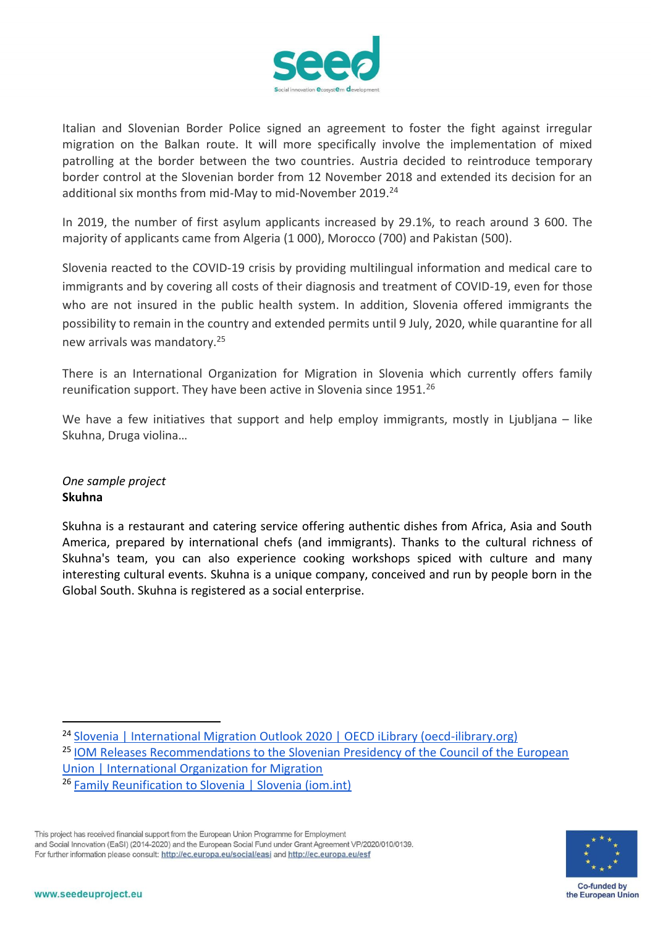

Italian and Slovenian Border Police signed an agreement to foster the fight against irregular migration on the Balkan route. It will more specifically involve the implementation of mixed patrolling at the border between the two countries. Austria decided to reintroduce temporary border control at the Slovenian border from 12 November 2018 and extended its decision for an additional six months from mid-May to mid-November 2019.<sup>24</sup>

In 2019, the number of first asylum applicants increased by 29.1%, to reach around 3 600. The majority of applicants came from Algeria (1 000), Morocco (700) and Pakistan (500).

Slovenia reacted to the COVID-19 crisis by providing multilingual information and medical care to immigrants and by covering all costs of their diagnosis and treatment of COVID-19, even for those who are not insured in the public health system. In addition, Slovenia offered immigrants the possibility to remain in the country and extended permits until 9 July, 2020, while quarantine for all new arrivals was mandatory.<sup>25</sup>

There is an International Organization for Migration in Slovenia which currently offers family reunification support. They have been active in Slovenia since 1951.<sup>26</sup>

We have a few initiatives that support and help employ immigrants, mostly in Ljubljana – like Skuhna, Druga violina…

### *One sample project* **Skuhna**

Skuhna is a restaurant and catering service offering authentic dishes from Africa, Asia and South America, prepared by international chefs (and immigrants). Thanks to the cultural richness of Skuhna's team, you can also experience cooking workshops spiced with culture and many interesting cultural events. Skuhna is a unique company, conceived and run by people born in the Global South. Skuhna is registered as a social enterprise.



<sup>24</sup> [Slovenia | International Migration Outlook 2020 | OECD iLibrary \(oecd-ilibrary.org\)](https://www.oecd-ilibrary.org/sites/cf710956-en/index.html?itemId=/content/component/cf710956-en) <sup>25</sup> IOM Releases Recommendations to the Slovenian Presidency of the Council of the European [Union | International Organization for Migration](https://www.iom.int/news/iom-releases-recommendations-slovenian-presidency-council-european-union)

<sup>26</sup> [Family Reunification to Slovenia | Slovenia \(iom.int\)](https://slovenia.iom.int/activities/family-reunification-slovenia)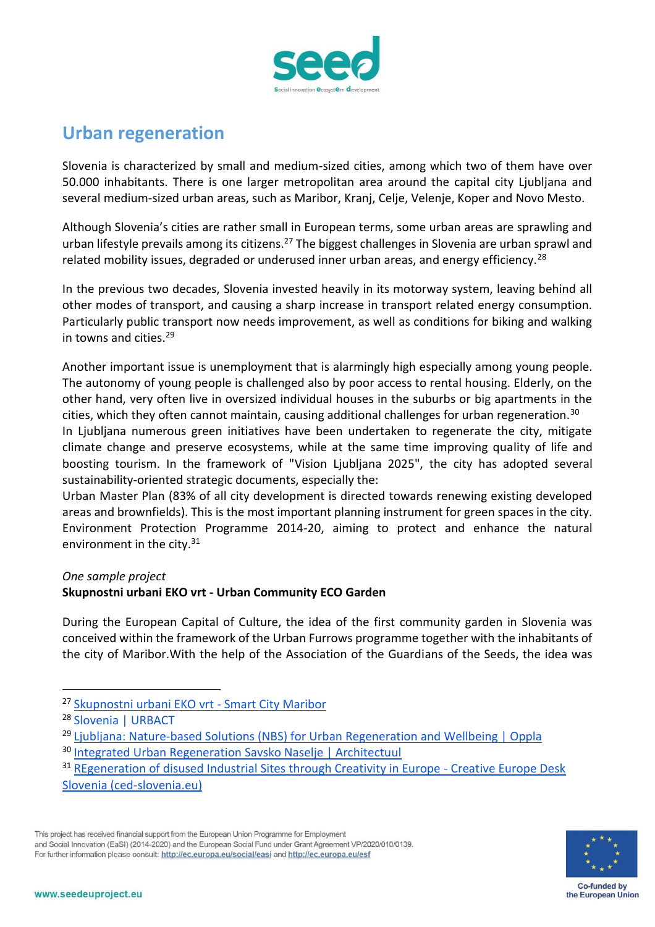

# **Urban regeneration**

Slovenia is characterized by small and medium-sized cities, among which two of them have over 50.000 inhabitants. There is one larger metropolitan area around the capital city Ljubljana and several medium-sized urban areas, such as Maribor, Kranj, Celje, Velenje, Koper and Novo Mesto.

Although Slovenia's cities are rather small in European terms, some urban areas are sprawling and urban lifestyle prevails among its citizens.<sup>27</sup> The biggest challenges in Slovenia are urban sprawl and related mobility issues, degraded or underused inner urban areas, and energy efficiency.<sup>28</sup>

In the previous two decades, Slovenia invested heavily in its motorway system, leaving behind all other modes of transport, and causing a sharp increase in transport related energy consumption. Particularly public transport now needs improvement, as well as conditions for biking and walking in towns and cities.<sup>29</sup>

Another important issue is unemployment that is alarmingly high especially among young people. The autonomy of young people is challenged also by poor access to rental housing. Elderly, on the other hand, very often live in oversized individual houses in the suburbs or big apartments in the cities, which they often cannot maintain, causing additional challenges for urban regeneration.<sup>30</sup>

In Ljubljana numerous green initiatives have been undertaken to regenerate the city, mitigate climate change and preserve ecosystems, while at the same time improving quality of life and boosting tourism. In the framework of ["Vision Ljubljana 2025"](http://www.ljubljana.si/en/green-capital/vision-2025/), the city has adopted several sustainability-oriented strategic documents, especially the:

[Urban Master Plan](https://urbanizem.ljubljana.si/index3/) (83% of all city development is directed towards renewing existing developed areas and brownfields). This is the most important planning instrument for green spaces in the city. Environment Protection Programme 2014-20, aiming to protect and enhance the natural environment in the city.<sup>31</sup>

### *One sample project*

### **Skupnostni urbani EKO vrt - Urban Community ECO Garden**

During the European Capital of Culture, the idea of the first community garden in Slovenia was conceived within the framework of the Urban Furrows programme together with the inhabitants of the city of Maribor.With the help of the Association of the Guardians of the Seeds, the idea was

and Social Innovation (EaSI) (2014-2020) and the European Social Fund under Grant Agreement VP/2020/010/0139. For further information please consult: http://ec.europa.eu/social/easi and http://ec.europa.eu/esf



<sup>27</sup> [Skupnostni urbani EKO vrt -](https://www.smartcitymaribor.si/si/Projekti/Pametno_bivanje_in_urbano_nacrtovanje/Skupnostni_urbani_EKO_vrt/) Smart City Maribor

<sup>28</sup> [Slovenia | URBACT](https://urbact.eu/slovenia)

<sup>&</sup>lt;sup>29</sup> Liubliana: Nature-based Solutions (NBS) for Urban Regeneration and Wellbeing | Oppla

<sup>30</sup> [Integrated Urban Regeneration Savsko Naselje | Architectuul](http://architectuul.com/architecture/integrated-urban-regeneration-savsko-naselje)

<sup>&</sup>lt;sup>31</sup> [REgeneration of disused Industrial Sites through Creativity in Europe -](https://ced-slovenia.eu/en/project/regeneration-disused-industrial-sites-creativity-europe-2/) Creative Europe Desk [Slovenia \(ced-slovenia.eu\)](https://ced-slovenia.eu/en/project/regeneration-disused-industrial-sites-creativity-europe-2/)

This project has received financial support from the European Union Programme for Employment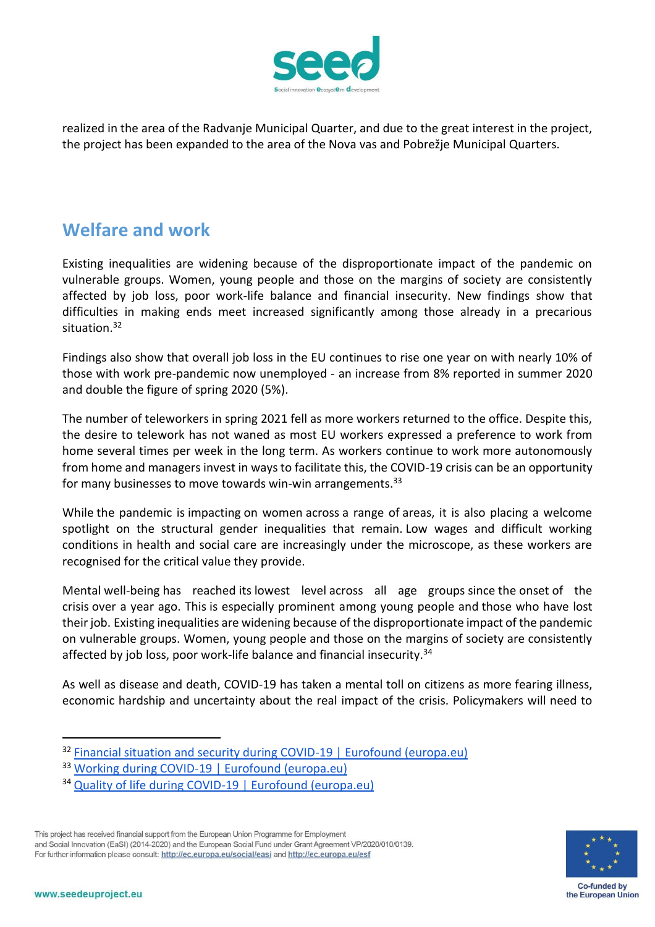

realized in the area of the Radvanje Municipal Quarter, and due to the great interest in the project, the project has been expanded to the area of the Nova vas and Pobrežje Municipal Quarters.

# **Welfare and work**

Existing inequalities are widening because of the disproportionate impact of the pandemic on vulnerable groups. Women, young people and those on the margins of society are consistently affected by job loss, poor work-life balance and financial insecurity. New findings show that difficulties in making ends meet increased significantly among those already in a precarious situation.<sup>32</sup>

Findings also show that overall job loss in the EU continues to rise one year on with nearly 10% of those with work pre-pandemic now unemployed - an increase from 8% reported in summer 2020 and double the figure of spring 2020 (5%).

The number of teleworkers in spring 2021 fell as more workers returned to the office. Despite this, the desire to telework has not waned as most EU workers expressed a preference to work from home several times per week in the long term. As workers continue to work more autonomously from home and managers invest in ways to facilitate this, the COVID-19 crisis can be an opportunity for many businesses to move towards win-win arrangements.<sup>33</sup>

While the pandemic is impacting on women across a range of areas, it is also placing a welcome spotlight on the structural gender inequalities that remain. Low wages and difficult working conditions in health and social care are increasingly under the microscope, as these workers are recognised for the critical value they provide. 

Mental well-being has reached its lowest level across all age groups since the onset of the crisis over a year ago. This is especially prominent among young people and those who have lost their job. Existing inequalities are widening because of the disproportionate impact of the pandemic on vulnerable groups. Women, young people and those on the margins of society are consistently affected by job loss, poor work-life balance and financial insecurity.<sup>34</sup>

As well as disease and death, COVID-19 has taken a mental toll on citizens as more fearing illness, economic hardship and uncertainty about the real impact of the crisis. Policymakers will need to



<sup>&</sup>lt;sup>32</sup> [Financial situation and security during COVID-19 | Eurofound \(europa.eu\)](https://www.eurofound.europa.eu/data/covid-19/financial-situation?var=E001_01&cat_sel=With%20great%20difficulty_With%20difficulty&chart_type=Bar&country_filter=Slovenia)

<sup>33</sup> [Working during COVID-19 | Eurofound \(europa.eu\)](https://www.eurofound.europa.eu/data/covid-19/working-teleworking?var=D002&cat_sel=Yes,%20permanently_Yes,%20temporarily&chart_type=Bar&country_filter=Slovenia)

<sup>34</sup> [Quality of life during COVID-19 | Eurofound \(europa.eu\)](https://www.eurofound.europa.eu/data/covid-19/quality-of-life?var=C001_01&chart_type=Bar&country_filter=Slovenia)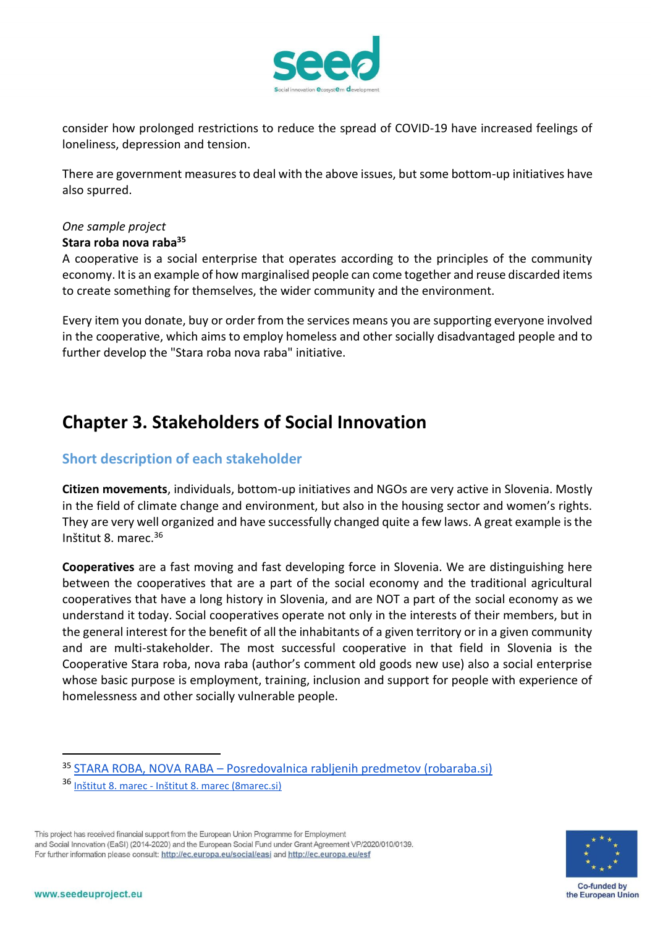

consider how prolonged restrictions to reduce the spread of COVID-19 have increased feelings of loneliness, depression and tension.

There are government measures to deal with the above issues, but some bottom-up initiatives have also spurred.

#### *One sample project*

#### **Stara roba nova raba<sup>35</sup>**

A cooperative is a social enterprise that operates according to the principles of the community economy. It is an example of how marginalised people can come together and reuse discarded items to create something for themselves, the wider community and the environment.

Every item you donate, buy or order from the services means you are supporting everyone involved in the cooperative, which aims to employ homeless and other socially disadvantaged people and to further develop the "Stara roba nova raba" initiative.

# **Chapter 3. Stakeholders of Social Innovation**

## **Short description of each stakeholder**

**Citizen movements**, individuals, bottom-up initiatives and NGOs are very active in Slovenia. Mostly in the field of climate change and environment, but also in the housing sector and women's rights. They are very well organized and have successfully changed quite a few laws. A great example is the Inštitut 8. marec.<sup>36</sup>

**Cooperatives** are a fast moving and fast developing force in Slovenia. We are distinguishing here between the cooperatives that are a part of the social economy and the traditional agricultural cooperatives that have a long history in Slovenia, and are NOT a part of the social economy as we understand it today. Social cooperatives operate not only in the interests of their members, but in the general interest for the benefit of all the inhabitants of a given territory or in a given community and are multi-stakeholder. The most successful cooperative in that field in Slovenia is the Cooperative Stara roba, nova raba (author's comment old goods new use) also a social enterprise whose basic purpose is employment, training, inclusion and support for people with experience of homelessness and other socially vulnerable people.



<sup>35</sup> STARA ROBA, NOVA RABA – [Posredovalnica rabljenih predmetov \(robaraba.si\)](https://robaraba.si/)

<sup>36</sup> Inštitut 8. marec - [Inštitut 8. marec \(8marec.si\)](https://www.8marec.si/)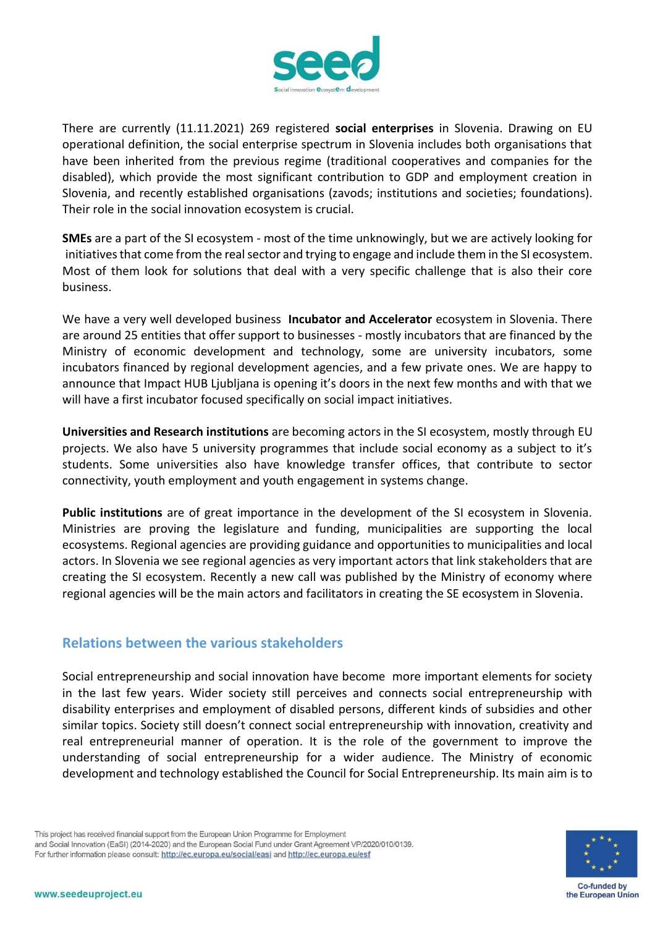

There are currently (11.11.2021) 269 registered **social enterprises** in Slovenia. Drawing on EU operational definition, the social enterprise spectrum in Slovenia includes both organisations that have been inherited from the previous regime (traditional cooperatives and companies for the disabled), which provide the most significant contribution to GDP and employment creation in Slovenia, and recently established organisations (zavods; institutions and societies; foundations). Their role in the social innovation ecosystem is crucial.

**SMEs** are a part of the SI ecosystem - most of the time unknowingly, but we are actively looking for initiatives that come from the real sector and trying to engage and include them in the SI ecosystem. Most of them look for solutions that deal with a very specific challenge that is also their core business.

We have a very well developed business **Incubator and Accelerator** ecosystem in Slovenia. There are around 25 entities that offer support to businesses - mostly incubators that are financed by the Ministry of economic development and technology, some are university incubators, some incubators financed by regional development agencies, and a few private ones. We are happy to announce that Impact HUB Ljubljana is opening it's doors in the next few months and with that we will have a first incubator focused specifically on social impact initiatives.

**Universities and Research institutions** are becoming actors in the SI ecosystem, mostly through EU projects. We also have 5 university programmes that include social economy as a subject to it's students. Some universities also have knowledge transfer offices, that contribute to sector connectivity, youth employment and youth engagement in systems change.

**Public institutions** are of great importance in the development of the SI ecosystem in Slovenia. Ministries are proving the legislature and funding, municipalities are supporting the local ecosystems. Regional agencies are providing guidance and opportunities to municipalities and local actors. In Slovenia we see regional agencies as very important actors that link stakeholders that are creating the SI ecosystem. Recently a new call was published by the Ministry of economy where regional agencies will be the main actors and facilitators in creating the SE ecosystem in Slovenia.

# **Relations between the various stakeholders**

Social entrepreneurship and social innovation have become more important elements for society in the last few years. Wider society still perceives and connects social entrepreneurship with disability enterprises and employment of disabled persons, different kinds of subsidies and other similar topics. Society still doesn't connect social entrepreneurship with innovation, creativity and real entrepreneurial manner of operation. It is the role of the government to improve the understanding of social entrepreneurship for a wider audience. The Ministry of economic development and technology established the Council for Social Entrepreneurship. Its main aim is to

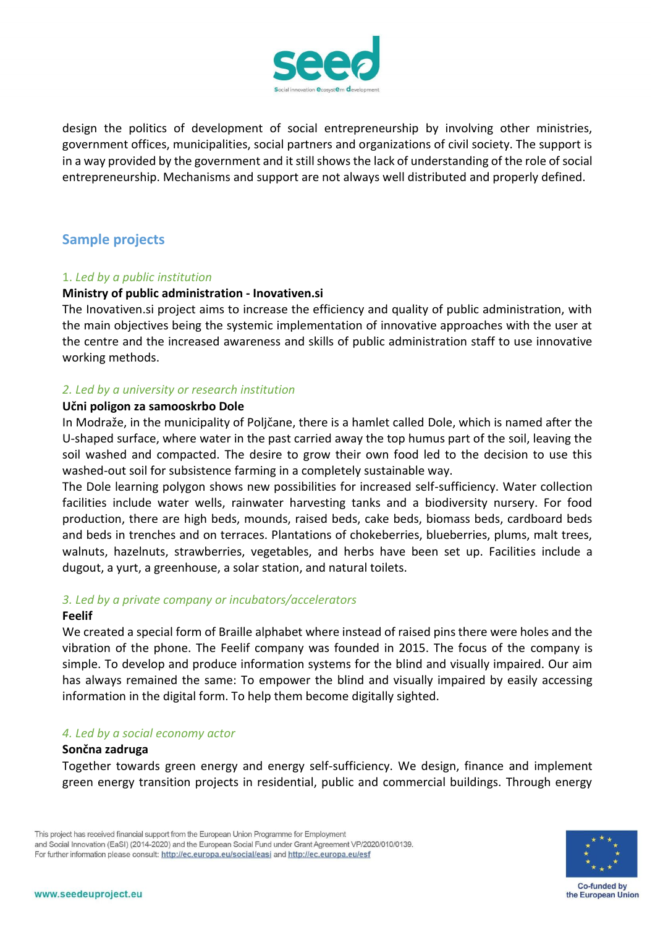

design the politics of development of social entrepreneurship by involving other ministries, government offices, municipalities, social partners and organizations of civil society. The support is in a way provided by the government and it still shows the lack of understanding of the role of social entrepreneurship. Mechanisms and support are not always well distributed and properly defined.

# **Sample projects**

### 1. *Led by a public institution*

#### **Ministry of public administration - Inovativen.si**

The Inovativen.si project aims to increase the efficiency and quality of public administration, with the main objectives being the systemic implementation of innovative approaches with the user at the centre and the increased awareness and skills of public administration staff to use innovative working methods.

### *2. Led by a university or research institution*

#### **Učni poligon za samooskrbo Dole**

In Modraže, in the municipality of Poljčane, there is a hamlet called Dole, which is named after the U-shaped surface, where water in the past carried away the top humus part of the soil, leaving the soil washed and compacted. The desire to grow their own food led to the decision to use this washed-out soil for subsistence farming in a completely sustainable way.

The Dole learning polygon shows new possibilities for increased self-sufficiency. Water collection facilities include water wells, rainwater harvesting tanks and a biodiversity nursery. For food production, there are high beds, mounds, raised beds, cake beds, biomass beds, cardboard beds and beds in trenches and on terraces. Plantations of chokeberries, blueberries, plums, malt trees, walnuts, hazelnuts, strawberries, vegetables, and herbs have been set up. Facilities include a dugout, a yurt, a greenhouse, a solar station, and natural toilets.

#### *3. Led by a private company or incubators/accelerators*

#### **Feelif**

We created a special form of [Braille alphabet w](https://www.feelif.com/tactile-books-games-tools/education/796/learning-braille-8166/)here instead of raised pins there were holes and the vibration of the phone. The Feelif company was founded in 2015. The focus of the [company](https://www.feelif.com/feelif-for-education-public-spaces-and-businesses/) is simple. To develop and produce information systems for the blind and visually impaired. Our aim has always remained the same: To empower the blind and visually impaired by easily accessing information in the digital form. To help them become digitally sighted.

#### *4. Led by a social economy actor*

#### **Sončna zadruga**

Together towards green energy and energy self-sufficiency. We design, finance and implement green energy transition projects in residential, public and commercial buildings. Through energy

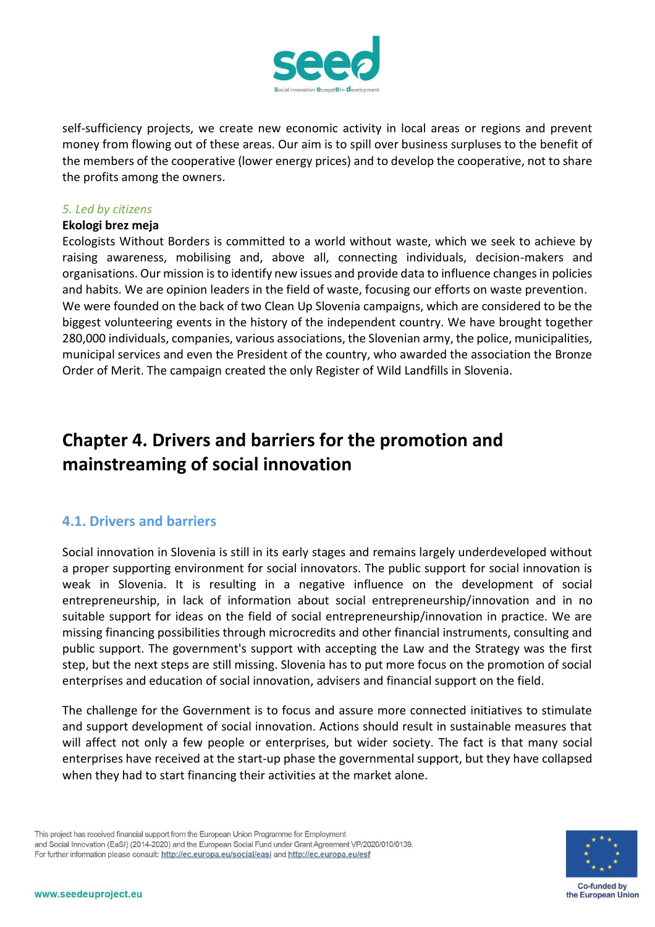

self-sufficiency projects, we create new economic activity in local areas or regions and prevent money from flowing out of these areas. Our aim is to spill over business surpluses to the benefit of the members of the cooperative (lower energy prices) and to develop the cooperative, not to share the profits among the owners.

### *5. Led by citizens*

#### **Ekologi brez meja**

Ecologists Without Borders is committed to a world without waste, which we seek to achieve by raising awareness, mobilising and, above all, connecting individuals, decision-makers and organisations. Our mission is to identify new issues and provide data to influence changes in policies and habits. We are opinion leaders in the field of waste, focusing our efforts on waste prevention. We were founded on the back of two Clean Up Slovenia campaigns, which are considered to be the biggest volunteering events in the history of the independent country. We have brought together 280,000 individuals, companies, various associations, the Slovenian army, the police, municipalities, municipal services and even the President of the country, who awarded the association the Bronze Order of Merit. The campaign created the only Register of Wild Landfills in Slovenia.

# **Chapter 4. Drivers and barriers for the promotion and mainstreaming of social innovation**

# **4.1. Drivers and barriers**

Social innovation in Slovenia is still in its early stages and remains largely underdeveloped without a proper supporting environment for social innovators. The public support for social innovation is weak in Slovenia. It is resulting in a negative influence on the development of social entrepreneurship, in lack of information about social entrepreneurship/innovation and in no suitable support for ideas on the field of social entrepreneurship/innovation in practice. We are missing financing possibilities through microcredits and other financial instruments, consulting and public support. The government's support with accepting the Law and the Strategy was the first step, but the next steps are still missing. Slovenia has to put more focus on the promotion of social enterprises and education of social innovation, advisers and financial support on the field.

The challenge for the Government is to focus and assure more connected initiatives to stimulate and support development of social innovation. Actions should result in sustainable measures that will affect not only a few people or enterprises, but wider society. The fact is that many social enterprises have received at the start-up phase the governmental support, but they have collapsed when they had to start financing their activities at the market alone.

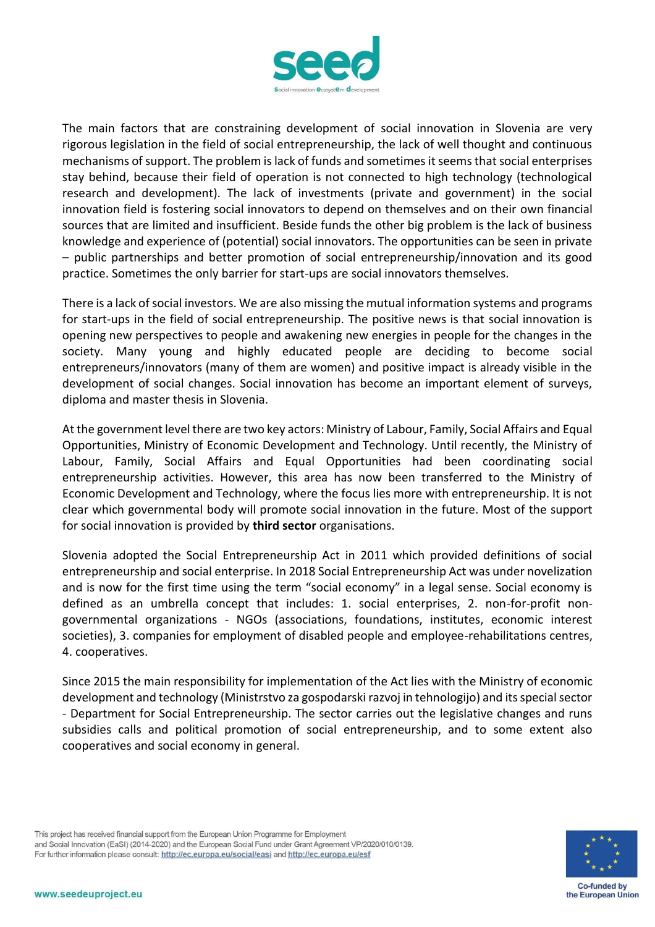

The main factors that are constraining development of social innovation in Slovenia are very rigorous legislation in the field of social entrepreneurship, the lack of well thought and continuous mechanisms of support. The problem is lack of funds and sometimes it seems that social enterprises stay behind, because their field of operation is not connected to high technology (technological research and development). The lack of investments (private and government) in the social innovation field is fostering social innovators to depend on themselves and on their own financial sources that are limited and insufficient. Beside funds the other big problem is the lack of business knowledge and experience of (potential) social innovators. The opportunities can be seen in private – public partnerships and better promotion of social entrepreneurship/innovation and its good practice. Sometimes the only barrier for start-ups are social innovators themselves.

There is a lack of social investors. We are also missing the mutual information systems and programs for start-ups in the field of social entrepreneurship. The positive news is that social innovation is opening new perspectives to people and awakening new energies in people for the changes in the society. Many young and highly educated people are deciding to become social entrepreneurs/innovators (many of them are women) and positive impact is already visible in the development of social changes. Social innovation has become an important element of surveys, diploma and master thesis in Slovenia.

At the government level there are two key actors: Ministry of Labour, Family, Social Affairs and Equal Opportunities, Ministry of Economic Development and Technology. Until recently, the Ministry of Labour, Family, Social Affairs and Equal Opportunities had been coordinating social entrepreneurship activities. However, this area has now been transferred to the Ministry of Economic Development and Technology, where the focus lies more with entrepreneurship. It is not clear which governmental body will promote social innovation in the future. Most of the support for social innovation is provided by **third sector** organisations.

Slovenia adopted the Social Entrepreneurship Act in 2011 which provided definitions of social entrepreneurship and social enterprise. In 2018 Social Entrepreneurship Act was under novelization and is now for the first time using the term "social economy" in a legal sense. Social economy is defined as an umbrella concept that includes: 1. social enterprises, 2. non-for-profit nongovernmental organizations - NGOs (associations, foundations, institutes, economic interest societies), 3. companies for employment of disabled people and employee-rehabilitations centres, 4. cooperatives.

Since 2015 the main responsibility for implementation of the Act lies with the Ministry of economic development and technology (Ministrstvo za gospodarski razvoj in tehnologijo) and its special sector - Department for Social Entrepreneurship. The sector carries out the legislative changes and runs subsidies calls and political promotion of social entrepreneurship, and to some extent also cooperatives and social economy in general.

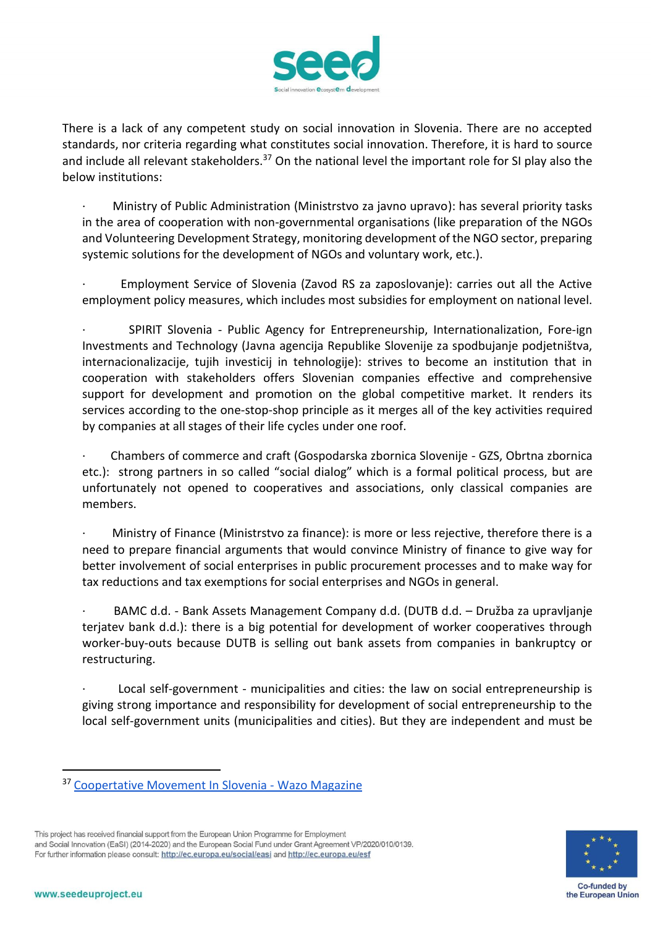

There is a lack of any competent study on social innovation in Slovenia. There are no accepted standards, nor criteria regarding what constitutes social innovation. Therefore, it is hard to source and include all relevant stakeholders.<sup>37</sup> On the national level the important role for SI play also the below institutions:

- · Ministry of Public Administration (Ministrstvo za javno upravo): has several priority tasks in the area of cooperation with non-governmental organisations (like preparation of the NGOs and Volunteering Development Strategy, monitoring development of the NGO sector, preparing systemic solutions for the development of NGOs and voluntary work, etc.).
- · Employment Service of Slovenia (Zavod RS za zaposlovanje): carries out all the Active employment policy measures, which includes most subsidies for employment on national level.
- SPIRIT Slovenia Public Agency for Entrepreneurship, Internationalization, Fore-ign Investments and Technology (Javna agencija Republike Slovenije za spodbujanje podjetništva, internacionalizacije, tujih investicij in tehnologije): strives to become an institution that in cooperation with stakeholders offers Slovenian companies effective and comprehensive support for development and promotion on the global competitive market. It renders its services according to the one-stop-shop principle as it merges all of the key activities required by companies at all stages of their life cycles under one roof.
- · Chambers of commerce and craft (Gospodarska zbornica Slovenije GZS, Obrtna zbornica etc.): strong partners in so called "social dialog" which is a formal political process, but are unfortunately not opened to cooperatives and associations, only classical companies are members.
- · Ministry of Finance (Ministrstvo za finance): is more or less rejective, therefore there is a need to prepare financial arguments that would convince Ministry of finance to give way for better involvement of social enterprises in public procurement processes and to make way for tax reductions and tax exemptions for social enterprises and NGOs in general.
- · BAMC d.d. Bank Assets Management Company d.d. (DUTB d.d. Družba za upravljanje terjatev bank d.d.): there is a big potential for development of worker cooperatives through worker-buy-outs because DUTB is selling out bank assets from companies in bankruptcy or restructuring.
- Local self-government municipalities and cities: the law on social entrepreneurship is giving strong importance and responsibility for development of social entrepreneurship to the local self-government units (municipalities and cities). But they are independent and must be



<sup>37</sup> [Coopertative Movement In Slovenia -](https://www.wazomagazine.com/coopertative-movement-in-slovenia/) Wazo Magazine

This project has received financial support from the European Union Programme for Employment and Social Innovation (EaSI) (2014-2020) and the European Social Fund under Grant Agreement VP/2020/010/0139. For further information please consult: http://ec.europa.eu/social/easi and http://ec.europa.eu/esf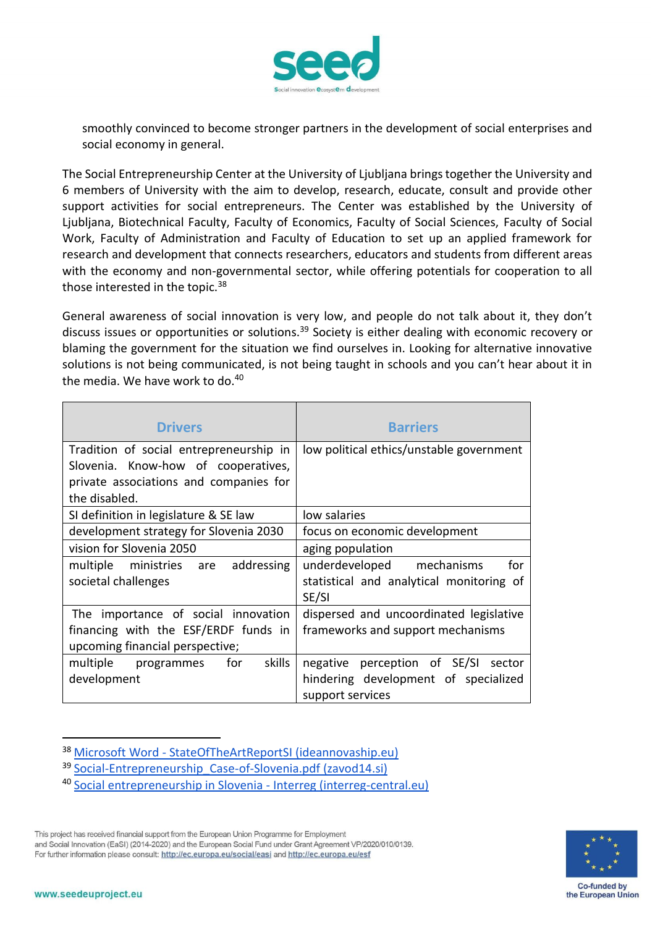

smoothly convinced to become stronger partners in the development of social enterprises and social economy in general.

The Social Entrepreneurship Center at the University of Ljubljana brings together the University and 6 members of University with the aim to develop, research, educate, consult and provide other support activities for social entrepreneurs. The Center was established by the University of Ljubljana, Biotechnical Faculty, Faculty of Economics, Faculty of Social Sciences, Faculty of Social Work, Faculty of Administration and Faculty of Education to set up an applied framework for research and development that connects researchers, educators and students from different areas with the economy and non-governmental sector, while offering potentials for cooperation to all those interested in the topic.<sup>38</sup>

General awareness of social innovation is very low, and people do not talk about it, they don't discuss issues or opportunities or solutions.<sup>39</sup> Society is either dealing with economic recovery or blaming the government for the situation we find ourselves in. Looking for alternative innovative solutions is not being communicated, is not being taught in schools and you can't hear about it in the media. We have work to do. $40$ 

| <b>Drivers</b>                          | <b>Barriers</b>                          |
|-----------------------------------------|------------------------------------------|
| Tradition of social entrepreneurship in | low political ethics/unstable government |
| Slovenia. Know-how of cooperatives,     |                                          |
| private associations and companies for  |                                          |
| the disabled.                           |                                          |
| SI definition in legislature & SE law   | low salaries                             |
| development strategy for Slovenia 2030  | focus on economic development            |
| vision for Slovenia 2050                | aging population                         |
| multiple ministries are addressing      | underdeveloped mechanisms<br>for         |
| societal challenges                     | statistical and analytical monitoring of |
|                                         | SE/SI                                    |
| The importance of social innovation     | dispersed and uncoordinated legislative  |
| financing with the ESF/ERDF funds in    | frameworks and support mechanisms        |
| upcoming financial perspective;         |                                          |
| skills<br>multiple programmes<br>for    | negative perception of SE/SI sector      |
| development                             | hindering development of specialized     |
|                                         | support services                         |

<sup>38</sup> Microsoft Word - [StateOfTheArtReportSI \(ideannovaship.eu\)](https://ideannovaship.eu/wp-content/uploads/Slovenia.pdf)

<sup>40</sup> [Social entrepreneurship in Slovenia -](https://www.interreg-central.eu/Content.Node/CE-Responsible/Social-entrepreneurship-in-Slovenia.html) Interreg (interreg-central.eu)





<sup>&</sup>lt;sup>39</sup> [Social-Entrepreneurship\\_Case-of-Slovenia.pdf \(zavod14.si\)](https://zavod14.si/wp-content/uploads/2018/10/Social-Entrepreneurship_Case-of-Slovenia.pdf)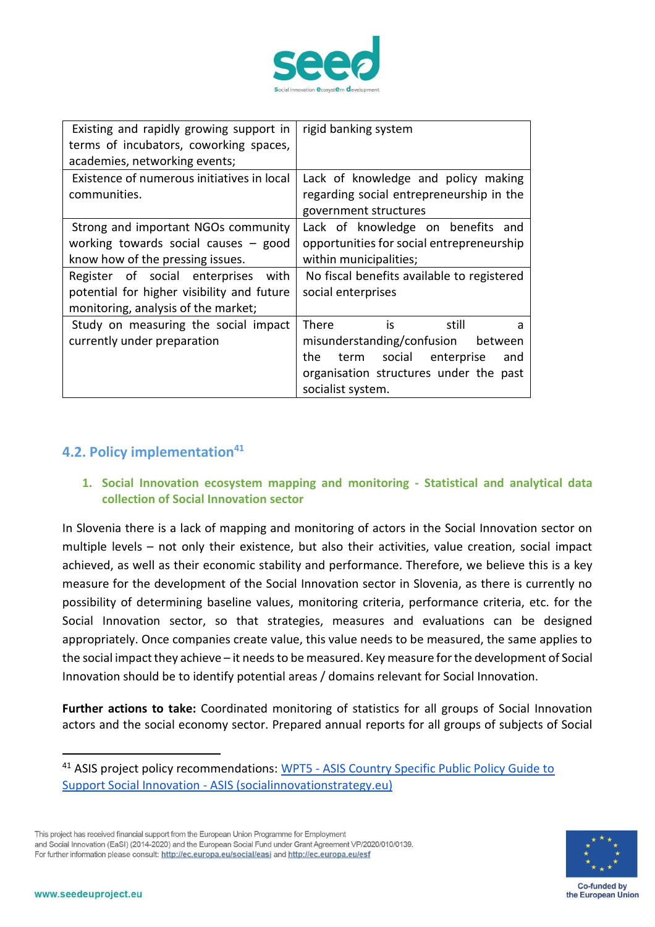

| Existing and rapidly growing support in<br>terms of incubators, coworking spaces,<br>academies, networking events;                                          | rigid banking system                                                                                                                                                          |
|-------------------------------------------------------------------------------------------------------------------------------------------------------------|-------------------------------------------------------------------------------------------------------------------------------------------------------------------------------|
| Existence of numerous initiatives in local<br>communities.                                                                                                  | Lack of knowledge and policy making<br>regarding social entrepreneurship in the<br>government structures                                                                      |
| Strong and important NGOs community<br>working towards social causes $-$ good<br>know how of the pressing issues.<br>Register of social enterprises<br>with | Lack of knowledge on benefits and<br>opportunities for social entrepreneurship<br>within municipalities;<br>No fiscal benefits available to registered                        |
| potential for higher visibility and future<br>monitoring, analysis of the market;                                                                           | social enterprises                                                                                                                                                            |
| Study on measuring the social impact<br>currently under preparation                                                                                         | There<br>is.<br>still<br>a<br>misunderstanding/confusion<br>between<br>term social<br>the<br>enterprise<br>and<br>organisation structures under the past<br>socialist system. |

# **4.2. Policy implementation<sup>41</sup>**

### **1. Social Innovation ecosystem mapping and monitoring - Statistical and analytical data collection of Social Innovation sector**

In Slovenia there is a lack of mapping and monitoring of actors in the Social Innovation sector on multiple levels – not only their existence, but also their activities, value creation, social impact achieved, as well as their economic stability and performance. Therefore, we believe this is a key measure for the development of the Social Innovation sector in Slovenia, as there is currently no possibility of determining baseline values, monitoring criteria, performance criteria, etc. for the Social Innovation sector, so that strategies, measures and evaluations can be designed appropriately. Once companies create value, this value needs to be measured, the same applies to the social impact they achieve – it needs to be measured. Key measure for the development of Social Innovation should be to identify potential areas / domains relevant for Social Innovation.

**Further actions to take:** Coordinated monitoring of statistics for all groups of Social Innovation actors and the social economy sector. Prepared annual reports for all groups of subjects of Social



<sup>&</sup>lt;sup>41</sup> ASIS project policy recommendations: WPT5 - ASIS Country Specific Public Policy Guide to Support Social Innovation - [ASIS \(socialinnovationstrategy.eu\)](https://socialinnovationstrategy.eu/wpt5-asis-country-specific-public-policy-guide-to-support-social-innovation/)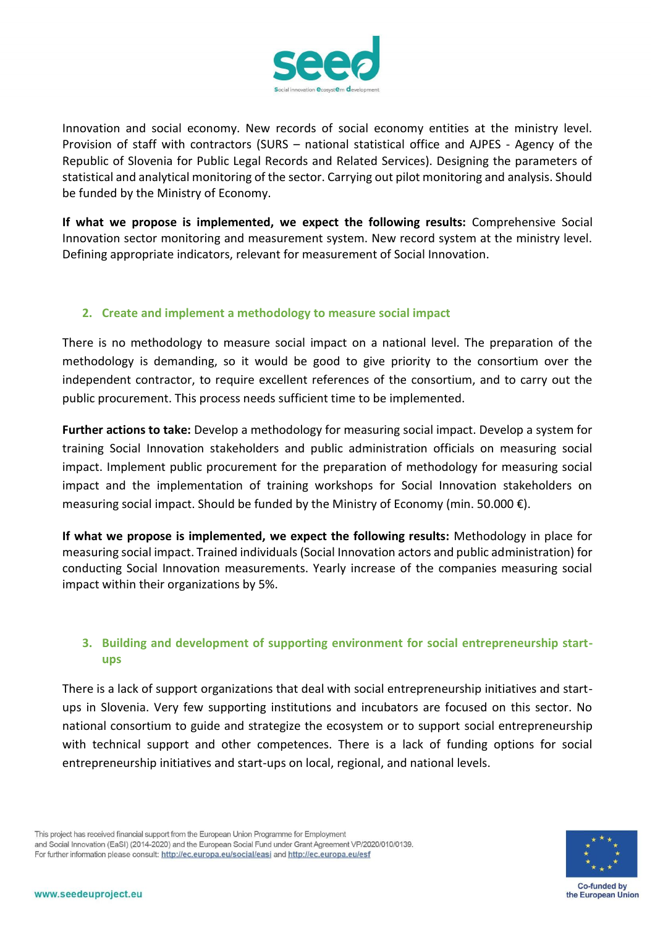

Innovation and social economy. New records of social economy entities at the ministry level. Provision of staff with contractors (SURS – national statistical office and AJPES - Agency of the Republic of Slovenia for Public Legal Records and Related Services). Designing the parameters of statistical and analytical monitoring of the sector. Carrying out pilot monitoring and analysis. Should be funded by the Ministry of Economy.

**If what we propose is implemented, we expect the following results:** Comprehensive Social Innovation sector monitoring and measurement system. New record system at the ministry level. Defining appropriate indicators, relevant for measurement of Social Innovation.

### **2. Create and implement a methodology to measure social impact**

There is no methodology to measure social impact on a national level. The preparation of the methodology is demanding, so it would be good to give priority to the consortium over the independent contractor, to require excellent references of the consortium, and to carry out the public procurement. This process needs sufficient time to be implemented.

**Further actions to take:** Develop a methodology for measuring social impact. Develop a system for training Social Innovation stakeholders and public administration officials on measuring social impact. Implement public procurement for the preparation of methodology for measuring social impact and the implementation of training workshops for Social Innovation stakeholders on measuring social impact. Should be funded by the Ministry of Economy (min. 50.000  $\epsilon$ ).

**If what we propose is implemented, we expect the following results:** Methodology in place for measuring social impact. Trained individuals (Social Innovation actors and public administration) for conducting Social Innovation measurements. Yearly increase of the companies measuring social impact within their organizations by 5%.

# **3. Building and development of supporting environment for social entrepreneurship startups**

There is a lack of support organizations that deal with social entrepreneurship initiatives and startups in Slovenia. Very few supporting institutions and incubators are focused on this sector. No national consortium to guide and strategize the ecosystem or to support social entrepreneurship with technical support and other competences. There is a lack of funding options for social entrepreneurship initiatives and start-ups on local, regional, and national levels.

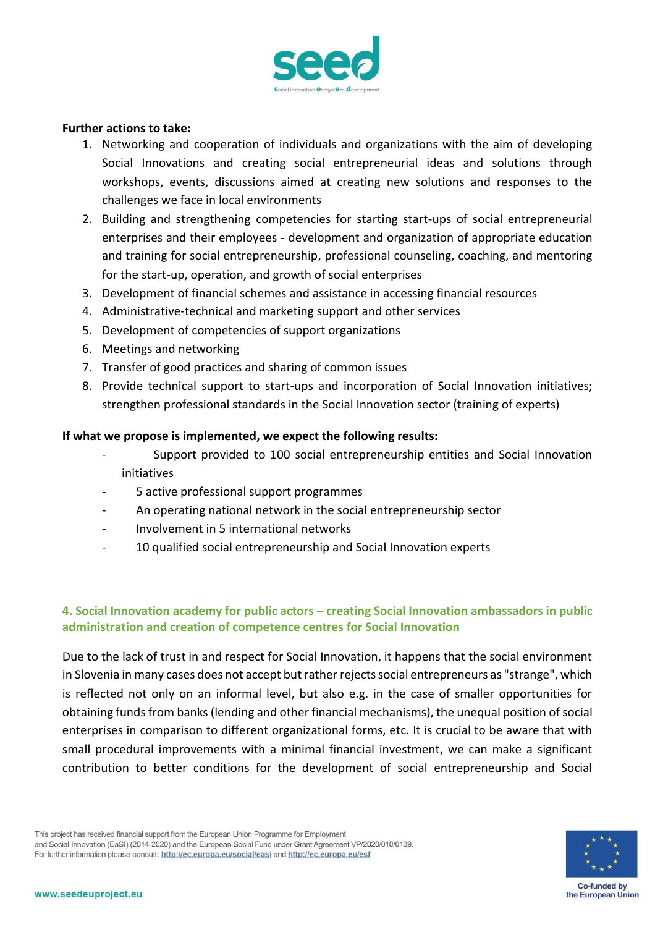

#### **Further actions to take:**

- 1. Networking and cooperation of individuals and organizations with the aim of developing Social Innovations and creating social entrepreneurial ideas and solutions through workshops, events, discussions aimed at creating new solutions and responses to the challenges we face in local environments
- 2. Building and strengthening competencies for starting start-ups of social entrepreneurial enterprises and their employees - development and organization of appropriate education and training for social entrepreneurship, professional counseling, coaching, and mentoring for the start-up, operation, and growth of social enterprises
- 3. Development of financial schemes and assistance in accessing financial resources
- 4. Administrative-technical and marketing support and other services
- 5. Development of competencies of support organizations
- 6. Meetings and networking
- 7. Transfer of good practices and sharing of common issues
- 8. Provide technical support to start-ups and incorporation of Social Innovation initiatives; strengthen professional standards in the Social Innovation sector (training of experts)

#### **If what we propose is implemented, we expect the following results:**

- Support provided to 100 social entrepreneurship entities and Social Innovation initiatives
- 5 active professional support programmes
- An operating national network in the social entrepreneurship sector
- Involvement in 5 international networks
- 10 qualified social entrepreneurship and Social Innovation experts

### **4. Social Innovation academy for public actors – creating Social Innovation ambassadors in public administration and creation of competence centres for Social Innovation**

Due to the lack of trust in and respect for Social Innovation, it happens that the social environment in Slovenia in many cases does not accept but rather rejects social entrepreneurs as "strange", which is reflected not only on an informal level, but also e.g. in the case of smaller opportunities for obtaining funds from banks (lending and other financial mechanisms), the unequal position of social enterprises in comparison to different organizational forms, etc. It is crucial to be aware that with small procedural improvements with a minimal financial investment, we can make a significant contribution to better conditions for the development of social entrepreneurship and Social

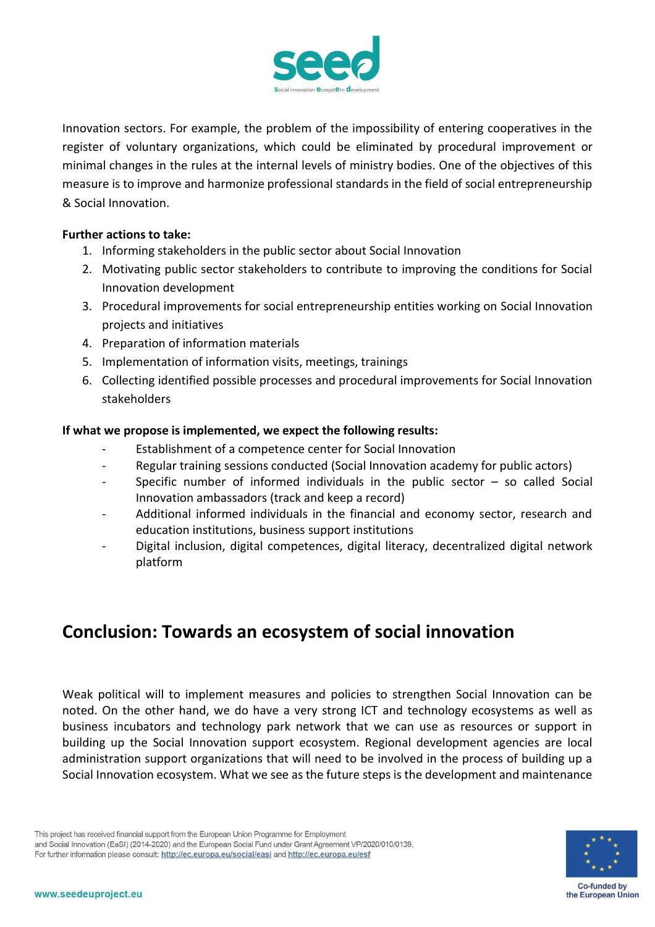

Innovation sectors. For example, the problem of the impossibility of entering cooperatives in the register of voluntary organizations, which could be eliminated by procedural improvement or minimal changes in the rules at the internal levels of ministry bodies. One of the objectives of this measure is to improve and harmonize professional standards in the field of social entrepreneurship & Social Innovation.

### **Further actions to take:**

- 1. Informing stakeholders in the public sector about Social Innovation
- 2. Motivating public sector stakeholders to contribute to improving the conditions for Social Innovation development
- 3. Procedural improvements for social entrepreneurship entities working on Social Innovation projects and initiatives
- 4. Preparation of information materials
- 5. Implementation of information visits, meetings, trainings
- 6. Collecting identified possible processes and procedural improvements for Social Innovation stakeholders

### **If what we propose is implemented, we expect the following results:**

- Establishment of a competence center for Social Innovation
- Regular training sessions conducted (Social Innovation academy for public actors)
- Specific number of informed individuals in the public sector  $-$  so called Social Innovation ambassadors (track and keep a record)
- Additional informed individuals in the financial and economy sector, research and education institutions, business support institutions
- Digital inclusion, digital competences, digital literacy, decentralized digital network platform

# **Conclusion: Towards an ecosystem of social innovation**

Weak political will to implement measures and policies to strengthen Social Innovation can be noted. On the other hand, we do have a very strong ICT and technology ecosystems as well as business incubators and technology park network that we can use as resources or support in building up the Social Innovation support ecosystem. Regional development agencies are local administration support organizations that will need to be involved in the process of building up a Social Innovation ecosystem. What we see as the future steps is the development and maintenance

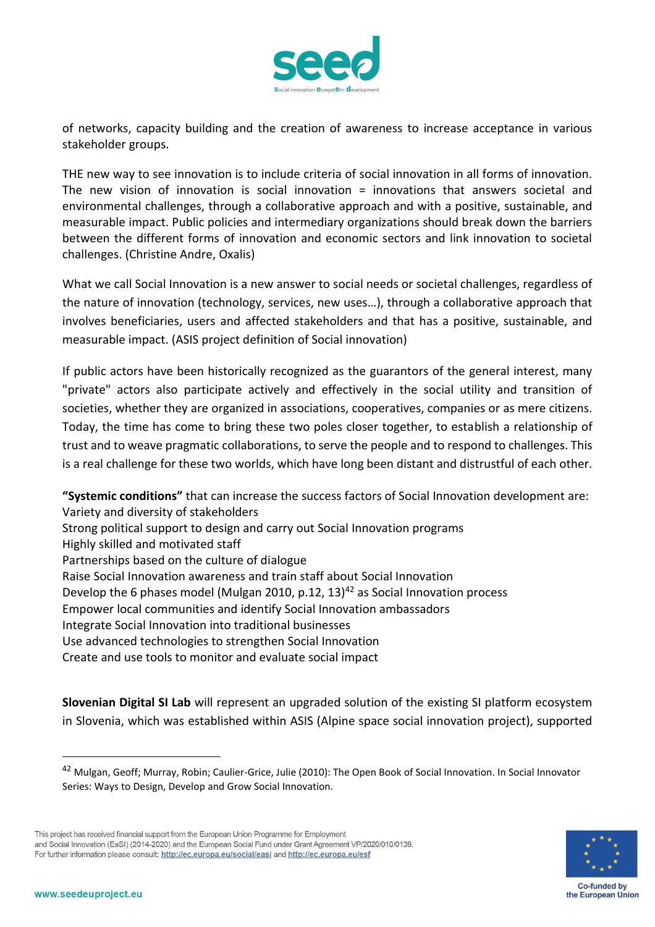

of networks, capacity building and the creation of awareness to increase acceptance in various stakeholder groups.

THE new way to see innovation is to include criteria of social innovation in all forms of innovation. The new vision of innovation is social innovation = innovations that answers societal and environmental challenges, through a collaborative approach and with a positive, sustainable, and measurable impact. Public policies and intermediary organizations should break down the barriers between the different forms of innovation and economic sectors and link innovation to societal challenges. (Christine Andre, Oxalis)

What we call Social Innovation is a new answer to social needs or societal challenges, regardless of the nature of innovation (technology, services, new uses…), through a collaborative approach that involves beneficiaries, users and affected stakeholders and that has a positive, sustainable, and measurable impact. (ASIS project definition of Social innovation)

If public actors have been historically recognized as the guarantors of the general interest, many "private" actors also participate actively and effectively in the social utility and transition of societies, whether they are organized in associations, cooperatives, companies or as mere citizens. Today, the time has come to bring these two poles closer together, to establish a relationship of trust and to weave pragmatic collaborations, to serve the people and to respond to challenges. This is a real challenge for these two worlds, which have long been distant and distrustful of each other.

**"Systemic conditions"** that can increase the success factors of Social Innovation development are: Variety and diversity of stakeholders Strong political support to design and carry out Social Innovation programs Highly skilled and motivated staff Partnerships based on the culture of dialogue Raise Social Innovation awareness and train staff about Social Innovation Develop the 6 phases model (Mulgan 2010, p.12, 13) $42$  as Social Innovation process Empower local communities and identify Social Innovation ambassadors Integrate Social Innovation into traditional businesses Use advanced technologies to strengthen Social Innovation Create and use tools to monitor and evaluate social impact

**Slovenian Digital SI Lab** will represent an upgraded solution of the existing SI platform ecosystem in Slovenia, which was established within ASIS (Alpine space social innovation project), supported



<sup>&</sup>lt;sup>42</sup> Mulgan, Geoff; Murray, Robin; Caulier-Grice, Julie (2010): The Open Book of Social Innovation. In Social Innovator Series: Ways to Design, Develop and Grow Social Innovation.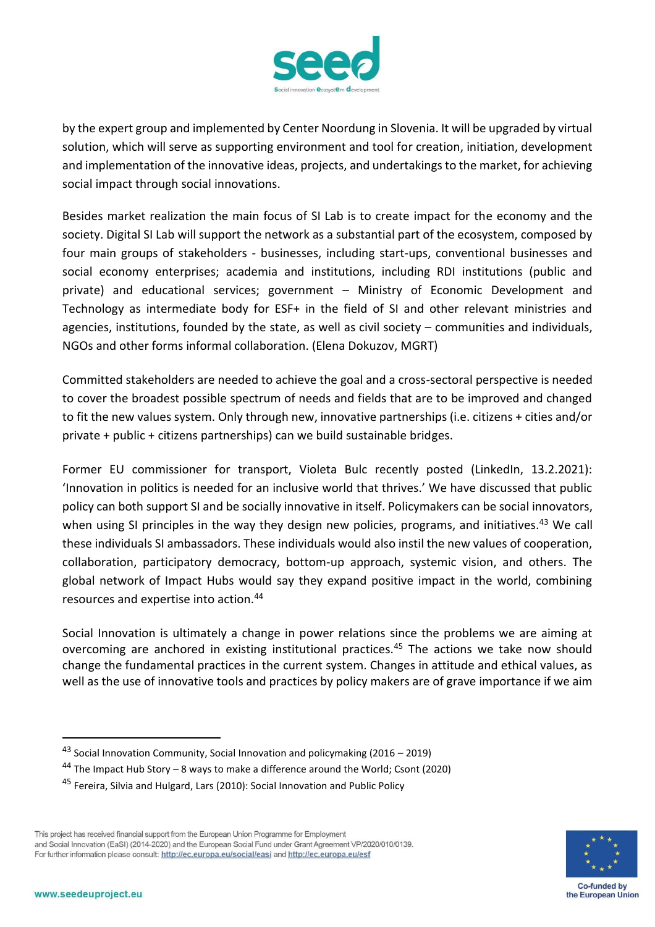

by the expert group and implemented by Center Noordung in Slovenia. It will be upgraded by virtual solution, which will serve as supporting environment and tool for creation, initiation, development and implementation of the innovative ideas, projects, and undertakings to the market, for achieving social impact through social innovations.

Besides market realization the main focus of SI Lab is to create impact for the economy and the society. Digital SI Lab will support the network as a substantial part of the ecosystem, composed by four main groups of stakeholders - businesses, including start-ups, conventional businesses and social economy enterprises; academia and institutions, including RDI institutions (public and private) and educational services; government – Ministry of Economic Development and Technology as intermediate body for ESF+ in the field of SI and other relevant ministries and agencies, institutions, founded by the state, as well as civil society – communities and individuals, NGOs and other forms informal collaboration. (Elena Dokuzov, MGRT)

Committed stakeholders are needed to achieve the goal and a cross-sectoral perspective is needed to cover the broadest possible spectrum of needs and fields that are to be improved and changed to fit the new values system. Only through new, innovative partnerships (i.e. citizens + cities and/or private + public + citizens partnerships) can we build sustainable bridges.

Former EU commissioner for transport, Violeta Bulc recently posted (LinkedIn, 13.2.2021): 'Innovation in politics is needed for an inclusive world that thrives.' We have discussed that public policy can both support SI and be socially innovative in itself. Policymakers can be social innovators, when using SI principles in the way they design new policies, programs, and initiatives.<sup>43</sup> We call these individuals SI ambassadors. These individuals would also instil the new values of cooperation, collaboration, participatory democracy, bottom-up approach, systemic vision, and others. The global network of Impact Hubs would say they expand positive impact in the world, combining resources and expertise into action.<sup>44</sup>

Social Innovation is ultimately a change in power relations since the problems we are aiming at overcoming are anchored in existing institutional practices.<sup>45</sup> The actions we take now should change the fundamental practices in the current system. Changes in attitude and ethical values, as well as the use of innovative tools and practices by policy makers are of grave importance if we aim



<sup>&</sup>lt;sup>43</sup> Social Innovation Community, Social Innovation and policymaking (2016 – 2019)

<sup>&</sup>lt;sup>44</sup> The Impact Hub Story – 8 ways to make a difference around the World; Csont (2020)

<sup>&</sup>lt;sup>45</sup> Fereira, Silvia and Hulgard, Lars (2010): Social Innovation and Public Policy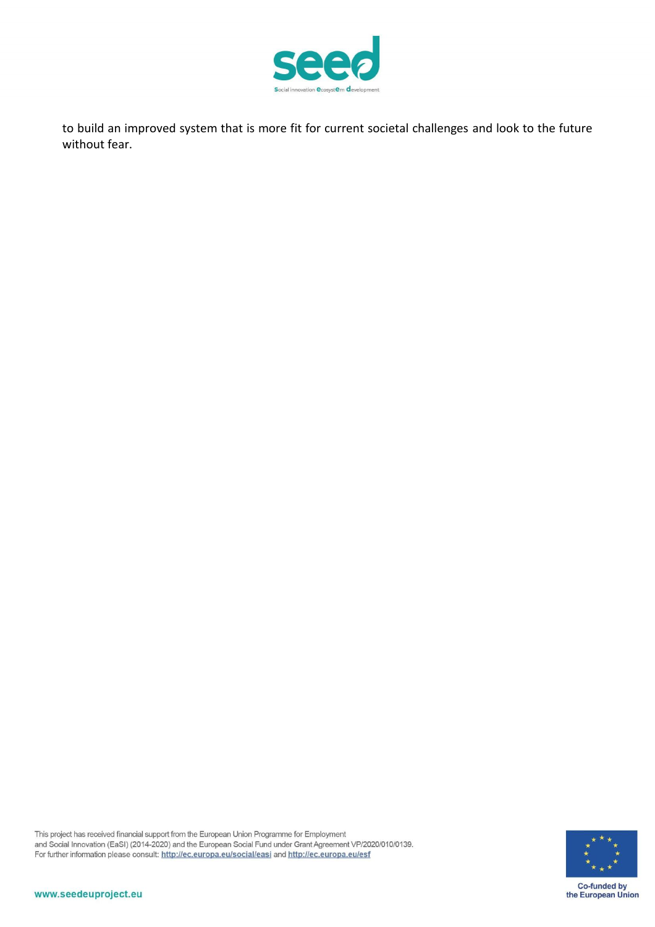

to build an improved system that is more fit for current societal challenges and look to the future without fear.

This project has received financial support from the European Union Programme for Employment and Social Innovation (EaSI) (2014-2020) and the European Social Fund under Grant Agreement VP/2020/010/0139. For further information please consult: http://ec.europa.eu/social/easi and http://ec.europa.eu/esf



www.seedeuproject.eu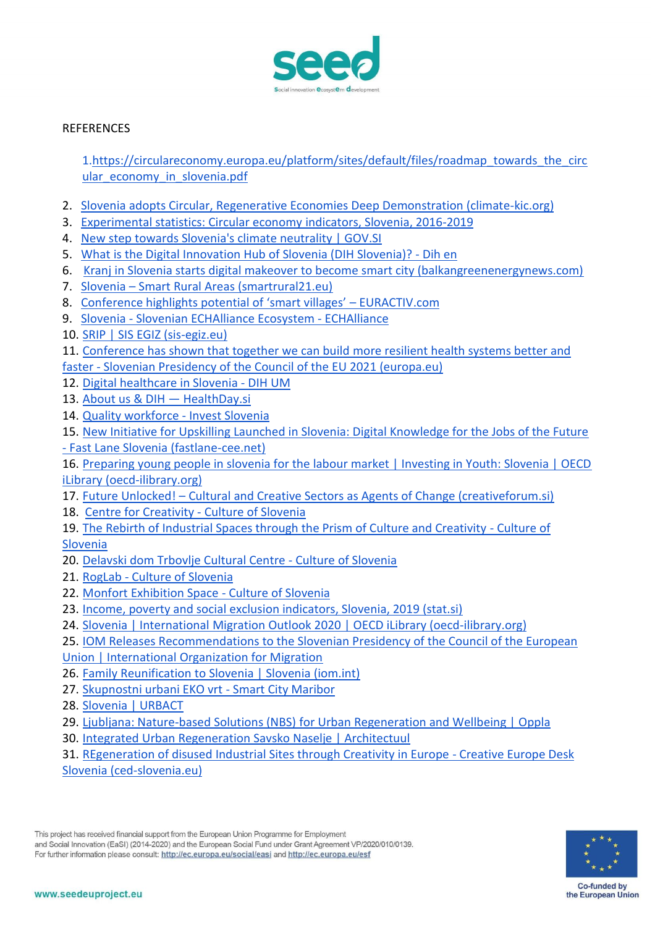

### **REFERENCES**

1[.https://circulareconomy.europa.eu/platform/sites/default/files/roadmap\\_towards\\_the\\_circ](https://circulareconomy.europa.eu/platform/sites/default/files/roadmap_towards_the_circular_economy_in_slovenia.pdf) [ular\\_economy\\_in\\_slovenia.pdf](https://circulareconomy.europa.eu/platform/sites/default/files/roadmap_towards_the_circular_economy_in_slovenia.pdf)

- 2. [Slovenia adopts Circular, Regenerative Economies Deep Demonstration \(climate-kic.org\)](https://www.climate-kic.org/news/slovenia-adopts-circular-regenerative-economies-deep-demonstration/)
- 3. [Experimental statistics: Circular economy indicators, Slovenia, 2016-2019](https://www.stat.si/StatWeb/en/News/Index/9406)
- 4. [New step towards Slovenia's climate neutrality | GOV.SI](https://www.gov.si/en/news/2021-07-13-new-step-towards-slovenias-climate-neutrality/)
- 5. [What is the Digital Innovation Hub of Slovenia \(DIH Slovenia\)? -](https://dihslovenia.si/en/about-us) Dih en
- 6. [Kranj in Slovenia starts digital makeover to become smart city \(balkangreenenergynews.com\)](https://balkangreenenergynews.com/kranj-in-slovenia-starts-digital-makeover-to-become-smart-city/)
- 7. [S](https://www.smartrural21.eu/countries/slovenia/)lovenia [Smart Rural Areas \(smartrural21.eu\)](https://www.smartrural21.eu/countries/slovenia/)
- 8. [Conference highlights potential of 'smart villages' –](https://www.euractiv.com/section/eu-council-presidency/news/conference-highlights-potential-of-smart-villages/) EURACTIV.com
- 9. [S](https://echalliance.com/ecosystem/slovenian-echalliance-ecosystem/)lovenia [Slovenian ECHAlliance Ecosystem -](https://echalliance.com/ecosystem/slovenian-echalliance-ecosystem/) ECHAlliance
- 10. [SRIP | SIS EGIZ \(sis-egiz.eu\)](https://sis-egiz.eu/srip/?lang=en)
- 11. [Conference has shown that together we can build](https://slovenian-presidency.consilium.europa.eu/en/news/conference-has-shown-that-together-we-can-build-more-resilient-health-systems-better-and-faster/) more resilient health systems better and
- faster [Slovenian Presidency of the Council of the EU 2021 \(europa.eu\)](https://slovenian-presidency.consilium.europa.eu/en/news/conference-has-shown-that-together-we-can-build-more-resilient-health-systems-better-and-faster/)
- 12. [Digital healthcare in Slovenia -](https://dih.um.si/en/digital-healthcare-in-slovenia/) DIH UM
- 13. [About us & DIH](http://www.healthday.si/about-us-and-dih)  HealthDay.si
- 14. [Quality workforce -](https://www.investslovenia.org/why-slovenia/quality-workforce) Invest Slovenia
- 15. [New Initiative for Upskilling Launched in Slovenia: Digital Knowledge for the Jobs of the Future](https://www.fastlane-cee.net/news/46976)  - [Fast Lane Slovenia \(fastlane-cee.net\)](https://www.fastlane-cee.net/news/46976)
- 16. [Preparing young people in slovenia for the labour market | Investing in Youth: Slovenia | OECD](https://www.oecd-ilibrary.org/sites/c58ac8f5-en/index.html?itemId=/content/component/c58ac8f5-en)  [iLibrary \(oecd-ilibrary.org\)](https://www.oecd-ilibrary.org/sites/c58ac8f5-en/index.html?itemId=/content/component/c58ac8f5-en)
- 17. [F](http://www.creativeforum.si/)uture Unlocked! [Cultural and Creative Sectors as Agents of Change \(creativeforum.si\)](http://www.creativeforum.si/)
- 18. [Centre for Creativity -](https://www.culture.si/en/Centre_for_Creativity) Culture of Slovenia
- 19. [The Rebirth of Industrial Spaces through the Prism of Culture and Creativity -](https://www.culture.si/en/The_Rebirth_of_Industrial_Spaces_through_the_Prism_of_Culture_and_Creativity) Culture of [Slovenia](https://www.culture.si/en/The_Rebirth_of_Industrial_Spaces_through_the_Prism_of_Culture_and_Creativity)
- 20. [Delavski dom Trbovlje Cultural Centre -](https://www.culture.si/en/Delavski_dom_Trbovlje_Cultural_Centre) Culture of Slovenia
- 21. [R](https://www.culture.si/en/RogLab)ogLab [Culture of Slovenia](https://www.culture.si/en/RogLab)
- 22. [Monfort Exhibition Space -](https://www.culture.si/en/Monfort_Exhibition_Space) Culture of Slovenia
- 23. [Income, poverty and social exclusion indicators, Slovenia, 2019 \(stat.si\)](https://www.stat.si/StatWeb/en/News/Index/8895)
- 24. [Slovenia | International Migration Outlook 2020 | OECD iLibrary \(oecd-ilibrary.org\)](https://www.oecd-ilibrary.org/sites/cf710956-en/index.html?itemId=/content/component/cf710956-en)
- 25. [IOM Releases Recommendations to the Slovenian Presidency of the Council of the European](https://www.iom.int/news/iom-releases-recommendations-slovenian-presidency-council-european-union)
- [Union | International Organization for Migration](https://www.iom.int/news/iom-releases-recommendations-slovenian-presidency-council-european-union)
- 26. [Family Reunification to Slovenia | Slovenia \(iom.int\)](https://slovenia.iom.int/activities/family-reunification-slovenia)
- 27. [Skupnostni urbani EKO vrt -](https://www.smartcitymaribor.si/si/Projekti/Pametno_bivanje_in_urbano_nacrtovanje/Skupnostni_urbani_EKO_vrt/) Smart City Maribor
- 28. [Slovenia | URBACT](https://urbact.eu/slovenia)
- 29. [Ljubljana: Nature-based Solutions \(NBS\) for Urban Regeneration and Wellbeing | Oppla](https://oppla.eu/ljubljana-nature-based-solutions-nbs-urban-regeneration-and-wellbeing)
- 30. [Integrated Urban Regeneration Savsko Naselje | Architectuul](http://architectuul.com/architecture/integrated-urban-regeneration-savsko-naselje)
- 31. [REgeneration of disused Industrial Sites through Creativity in Europe -](https://ced-slovenia.eu/en/project/regeneration-disused-industrial-sites-creativity-europe-2/) Creative Europe Desk [Slovenia \(ced-slovenia.eu\)](https://ced-slovenia.eu/en/project/regeneration-disused-industrial-sites-creativity-europe-2/)

This project has received financial support from the European Union Programme for Employment

and Social Innovation (EaSI) (2014-2020) and the European Social Fund under Grant Agreement VP/2020/010/0139. For further information please consult: http://ec.europa.eu/social/easi and http://ec.europa.eu/esf